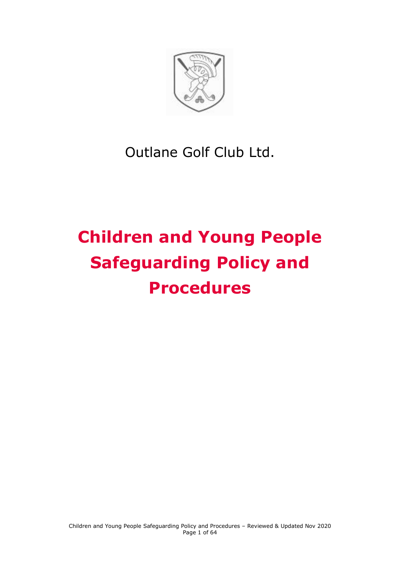

# Outlane Golf Club Ltd.

# **Children and Young People Safeguarding Policy and Procedures**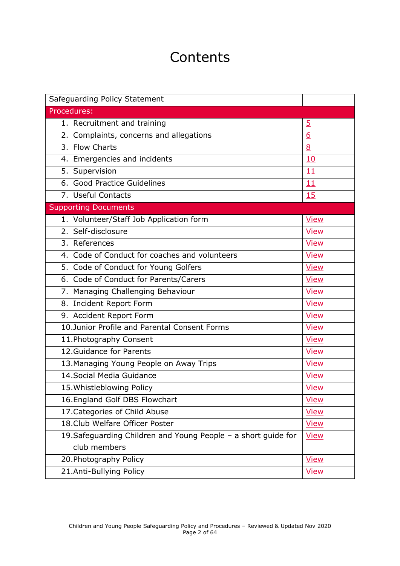## **Contents**

| Safeguarding Policy Statement                                  |                |
|----------------------------------------------------------------|----------------|
| Procedures:                                                    |                |
| 1. Recruitment and training                                    | $\overline{5}$ |
| 2. Complaints, concerns and allegations                        | 6              |
| 3. Flow Charts                                                 | 8              |
| 4. Emergencies and incidents                                   | 10             |
| 5. Supervision                                                 | 11             |
| 6. Good Practice Guidelines                                    | 11             |
| 7. Useful Contacts                                             | 15             |
| <b>Supporting Documents</b>                                    |                |
| 1. Volunteer/Staff Job Application form                        | <b>View</b>    |
| 2. Self-disclosure                                             | <b>View</b>    |
| $\overline{3}$ . References                                    | <b>View</b>    |
| 4. Code of Conduct for coaches and volunteers                  | <b>View</b>    |
| 5. Code of Conduct for Young Golfers                           | <b>View</b>    |
| 6. Code of Conduct for Parents/Carers                          | <b>View</b>    |
| 7. Managing Challenging Behaviour                              | <b>View</b>    |
| 8. Incident Report Form                                        | <b>View</b>    |
| 9. Accident Report Form                                        | <b>View</b>    |
| 10.Junior Profile and Parental Consent Forms                   | <b>View</b>    |
| 11. Photography Consent                                        | <b>View</b>    |
| 12. Guidance for Parents                                       | <b>View</b>    |
| 13. Managing Young People on Away Trips                        | <b>View</b>    |
| 14. Social Media Guidance                                      | <b>View</b>    |
| 15. Whistleblowing Policy                                      | <b>View</b>    |
| 16. England Golf DBS Flowchart                                 | <b>View</b>    |
| 17. Categories of Child Abuse                                  | <b>View</b>    |
| 18. Club Welfare Officer Poster                                | <b>View</b>    |
| 19. Safeguarding Children and Young People - a short guide for | <b>View</b>    |
| club members                                                   |                |
| 20. Photography Policy                                         | <b>View</b>    |
| 21.Anti-Bullying Policy                                        | <b>View</b>    |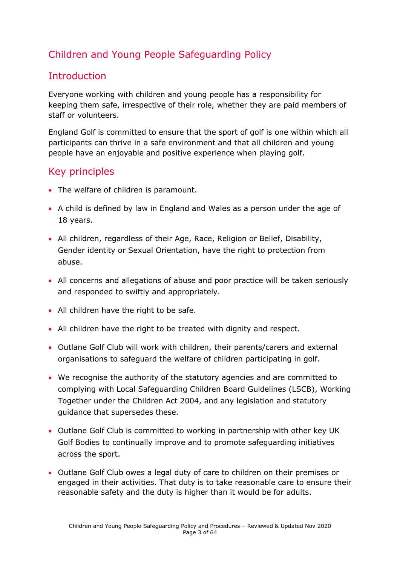### Children and Young People Safeguarding Policy

### Introduction

Everyone working with children and young people has a responsibility for keeping them safe, irrespective of their role, whether they are paid members of staff or volunteers.

England Golf is committed to ensure that the sport of golf is one within which all participants can thrive in a safe environment and that all children and young people have an enjoyable and positive experience when playing golf.

### Key principles

- The welfare of children is paramount.
- A child is defined by law in England and Wales as a person under the age of 18 years.
- All children, regardless of their Age, Race, Religion or Belief, Disability, Gender identity or Sexual Orientation, have the right to protection from abuse.
- All concerns and allegations of abuse and poor practice will be taken seriously and responded to swiftly and appropriately.
- All children have the right to be safe.
- All children have the right to be treated with dignity and respect.
- Outlane Golf Club will work with children, their parents/carers and external organisations to safeguard the welfare of children participating in golf.
- We recognise the authority of the statutory agencies and are committed to complying with Local Safeguarding Children Board Guidelines (LSCB), Working Together under the Children Act 2004, and any legislation and statutory guidance that supersedes these.
- Outlane Golf Club is committed to working in partnership with other key UK Golf Bodies to continually improve and to promote safeguarding initiatives across the sport.
- Outlane Golf Club owes a legal duty of care to children on their premises or engaged in their activities. That duty is to take reasonable care to ensure their reasonable safety and the duty is higher than it would be for adults.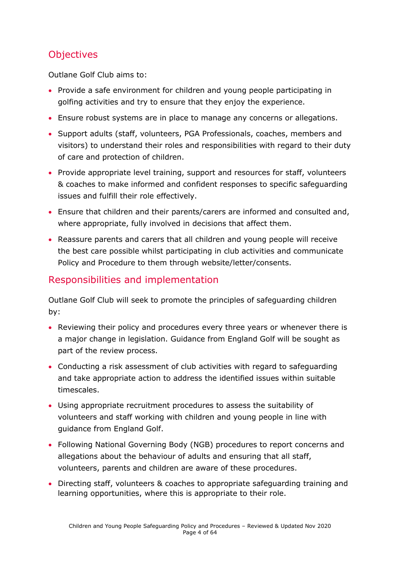### **Objectives**

Outlane Golf Club aims to:

- Provide a safe environment for children and young people participating in golfing activities and try to ensure that they enjoy the experience.
- Ensure robust systems are in place to manage any concerns or allegations.
- Support adults (staff, volunteers, PGA Professionals, coaches, members and visitors) to understand their roles and responsibilities with regard to their duty of care and protection of children.
- Provide appropriate level training, support and resources for staff, volunteers & coaches to make informed and confident responses to specific safeguarding issues and fulfill their role effectively.
- Ensure that children and their parents/carers are informed and consulted and, where appropriate, fully involved in decisions that affect them.
- Reassure parents and carers that all children and young people will receive the best care possible whilst participating in club activities and communicate Policy and Procedure to them through website/letter/consents.

### Responsibilities and implementation

Outlane Golf Club will seek to promote the principles of safeguarding children by:

- Reviewing their policy and procedures every three years or whenever there is a major change in legislation. Guidance from England Golf will be sought as part of the review process.
- Conducting a risk assessment of club activities with regard to safeguarding and take appropriate action to address the identified issues within suitable timescales.
- Using appropriate recruitment procedures to assess the suitability of volunteers and staff working with children and young people in line with guidance from England Golf.
- Following National Governing Body (NGB) procedures to report concerns and allegations about the behaviour of adults and ensuring that all staff, volunteers, parents and children are aware of these procedures.
- Directing staff, volunteers & coaches to appropriate safeguarding training and learning opportunities, where this is appropriate to their role.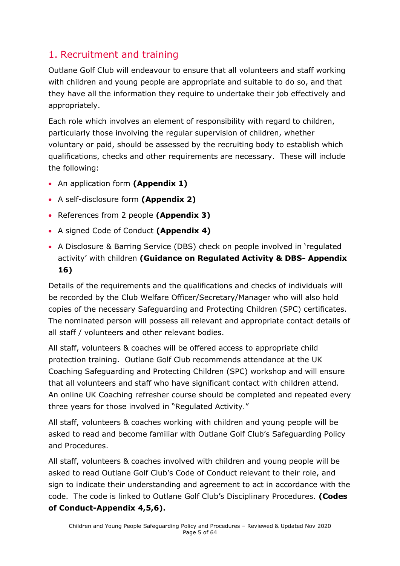### <span id="page-4-0"></span>1. Recruitment and training

Outlane Golf Club will endeavour to ensure that all volunteers and staff working with children and young people are appropriate and suitable to do so, and that they have all the information they require to undertake their job effectively and appropriately.

Each role which involves an element of responsibility with regard to children, particularly those involving the regular supervision of children, whether voluntary or paid, should be assessed by the recruiting body to establish which qualifications, checks and other requirements are necessary. These will include the following:

- An application form **(Appendix 1)**
- A self-disclosure form **(Appendix 2)**
- References from 2 people **(Appendix 3)**
- A signed Code of Conduct **(Appendix 4)**
- A Disclosure & Barring Service (DBS) check on people involved in 'regulated activity' with children **(Guidance on Regulated Activity & DBS- Appendix 16)**

Details of the requirements and the qualifications and checks of individuals will be recorded by the Club Welfare Officer/Secretary/Manager who will also hold copies of the necessary Safeguarding and Protecting Children (SPC) certificates. The nominated person will possess all relevant and appropriate contact details of all staff / volunteers and other relevant bodies.

All staff, volunteers & coaches will be offered access to appropriate child protection training. Outlane Golf Club recommends attendance at the UK Coaching Safeguarding and Protecting Children (SPC) workshop and will ensure that all volunteers and staff who have significant contact with children attend. An online UK Coaching refresher course should be completed and repeated every three years for those involved in "Regulated Activity."

All staff, volunteers & coaches working with children and young people will be asked to read and become familiar with Outlane Golf Club's Safeguarding Policy and Procedures.

All staff, volunteers & coaches involved with children and young people will be asked to read Outlane Golf Club's Code of Conduct relevant to their role, and sign to indicate their understanding and agreement to act in accordance with the code. The code is linked to Outlane Golf Club's Disciplinary Procedures. **(Codes of Conduct-Appendix 4,5,6).**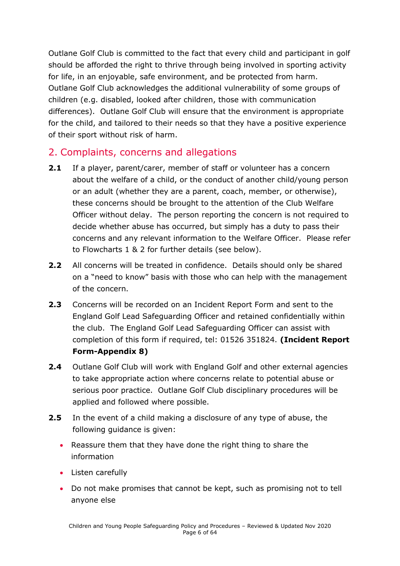Outlane Golf Club is committed to the fact that every child and participant in golf should be afforded the right to thrive through being involved in sporting activity for life, in an enjoyable, safe environment, and be protected from harm. Outlane Golf Club acknowledges the additional vulnerability of some groups of children (e.g. disabled, looked after children, those with communication differences). Outlane Golf Club will ensure that the environment is appropriate for the child, and tailored to their needs so that they have a positive experience of their sport without risk of harm.

### <span id="page-5-0"></span>2. Complaints, concerns and allegations

- **2.1** If a player, parent/carer, member of staff or volunteer has a concern about the welfare of a child, or the conduct of another child/young person or an adult (whether they are a parent, coach, member, or otherwise), these concerns should be brought to the attention of the Club Welfare Officer without delay. The person reporting the concern is not required to decide whether abuse has occurred, but simply has a duty to pass their concerns and any relevant information to the Welfare Officer. Please refer to Flowcharts 1 & 2 for further details (see below).
- **2.2** All concerns will be treated in confidence. Details should only be shared on a "need to know" basis with those who can help with the management of the concern.
- **2.3** Concerns will be recorded on an Incident Report Form and sent to the England Golf Lead Safeguarding Officer and retained confidentially within the club. The England Golf Lead Safeguarding Officer can assist with completion of this form if required, tel: 01526 351824. **(Incident Report Form-Appendix 8)**
- **2.4** Outlane Golf Club will work with England Golf and other external agencies to take appropriate action where concerns relate to potential abuse or serious poor practice. Outlane Golf Club disciplinary procedures will be applied and followed where possible.
- **2.5** In the event of a child making a disclosure of any type of abuse, the following guidance is given:
	- Reassure them that they have done the right thing to share the information
	- Listen carefully
	- Do not make promises that cannot be kept, such as promising not to tell anyone else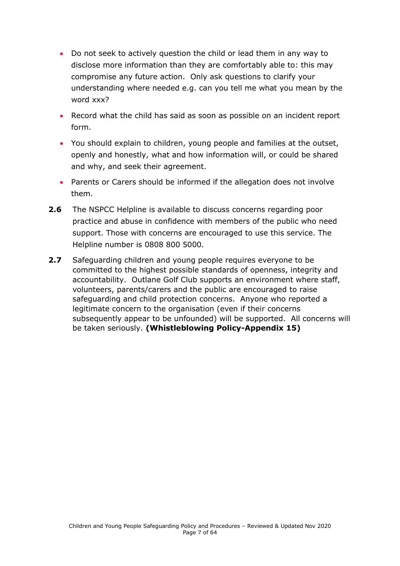- Do not seek to actively question the child or lead them in any way to disclose more information than they are comfortably able to: this may compromise any future action. Only ask questions to clarify your understanding where needed e.g. can you tell me what you mean by the word xxx?
- Record what the child has said as soon as possible on an incident report form.
- You should explain to children, young people and families at the outset, openly and honestly, what and how information will, or could be shared and why, and seek their agreement.
- Parents or Carers should be informed if the allegation does not involve them.
- **2.6** The NSPCC Helpline is available to discuss concerns regarding poor practice and abuse in confidence with members of the public who need support. Those with concerns are encouraged to use this service. The Helpline number is 0808 800 5000.
- **2.7** Safeguarding children and young people requires everyone to be committed to the highest possible standards of openness, integrity and accountability. Outlane Golf Club supports an environment where staff, volunteers, parents/carers and the public are encouraged to raise safeguarding and child protection concerns. Anyone who reported a legitimate concern to the organisation (even if their concerns subsequently appear to be unfounded) will be supported. All concerns will be taken seriously. **(Whistleblowing Policy-Appendix 15)**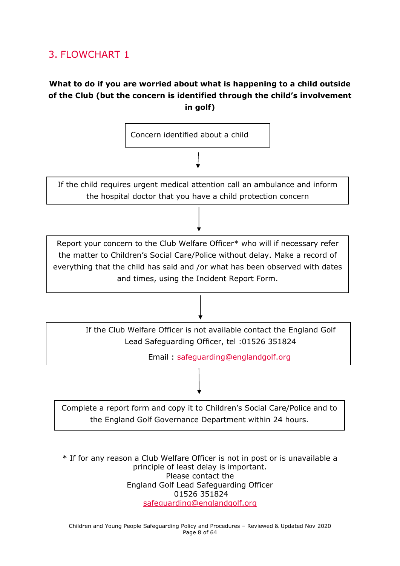### <span id="page-7-0"></span>3. FLOWCHART 1

#### **What to do if you are worried about what is happening to a child outside of the Club (but the concern is identified through the child's involvement in golf)**



\* If for any reason a Club Welfare Officer is not in post or is unavailable a principle of least delay is important. Please contact the England Golf Lead Safeguarding Officer 01526 351824 [safeguarding@englandgolf.org](mailto:safeguarding@englandgolf.org)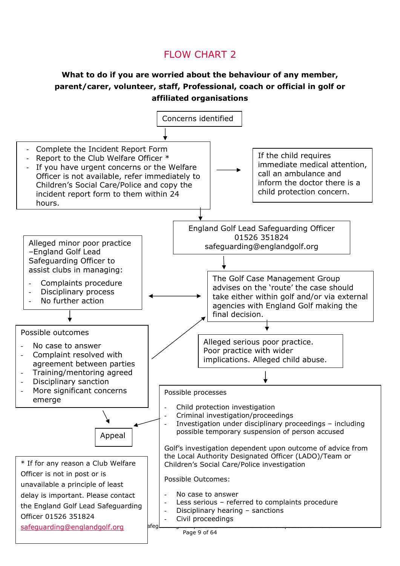### FLOW CHART 2

#### **What to do if you are worried about the behaviour of any member, parent/carer, volunteer, staff, Professional, coach or official in golf or affiliated organisations**

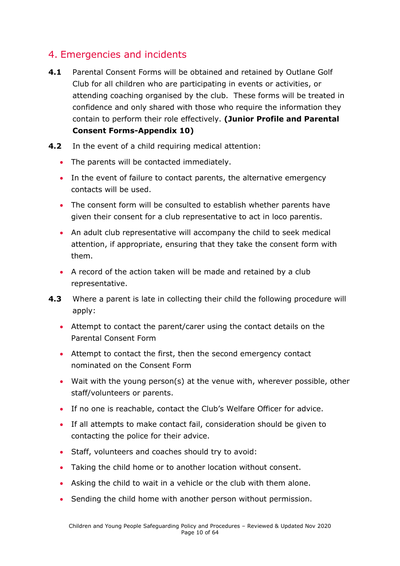### <span id="page-9-0"></span>4. Emergencies and incidents

- **4.1** Parental Consent Forms will be obtained and retained by Outlane Golf Club for all children who are participating in events or activities, or attending coaching organised by the club. These forms will be treated in confidence and only shared with those who require the information they contain to perform their role effectively. **(Junior Profile and Parental Consent Forms-Appendix 10)**
- **4.2** In the event of a child requiring medical attention:
	- The parents will be contacted immediately.
	- In the event of failure to contact parents, the alternative emergency contacts will be used.
	- The consent form will be consulted to establish whether parents have given their consent for a club representative to act in loco parentis.
	- An adult club representative will accompany the child to seek medical attention, if appropriate, ensuring that they take the consent form with them.
	- A record of the action taken will be made and retained by a club representative.
- **4.3** Where a parent is late in collecting their child the following procedure will apply:
	- Attempt to contact the parent/carer using the contact details on the Parental Consent Form
	- Attempt to contact the first, then the second emergency contact nominated on the Consent Form
	- Wait with the young person(s) at the venue with, wherever possible, other staff/volunteers or parents.
	- If no one is reachable, contact the Club's Welfare Officer for advice.
	- If all attempts to make contact fail, consideration should be given to contacting the police for their advice.
	- Staff, volunteers and coaches should try to avoid:
	- Taking the child home or to another location without consent.
	- Asking the child to wait in a vehicle or the club with them alone.
	- Sending the child home with another person without permission.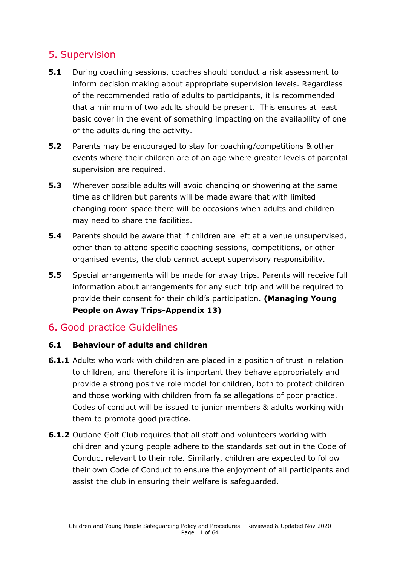### <span id="page-10-0"></span>5. Supervision

- **5.1** During coaching sessions, coaches should conduct a risk assessment to inform decision making about appropriate supervision levels. Regardless of the recommended ratio of adults to participants, it is recommended that a minimum of two adults should be present. This ensures at least basic cover in the event of something impacting on the availability of one of the adults during the activity.
- **5.2** Parents may be encouraged to stay for coaching/competitions & other events where their children are of an age where greater levels of parental supervision are required.
- **5.3** Wherever possible adults will avoid changing or showering at the same time as children but parents will be made aware that with limited changing room space there will be occasions when adults and children may need to share the facilities.
- **5.4** Parents should be aware that if children are left at a venue unsupervised, other than to attend specific coaching sessions, competitions, or other organised events, the club cannot accept supervisory responsibility.
- **5.5** Special arrangements will be made for away trips. Parents will receive full information about arrangements for any such trip and will be required to provide their consent for their child's participation. **(Managing Young People on Away Trips-Appendix 13)**

### 6. Good practice Guidelines

#### **6.1 Behaviour of adults and children**

- **6.1.1** Adults who work with children are placed in a position of trust in relation to children, and therefore it is important they behave appropriately and provide a strong positive role model for children, both to protect children and those working with children from false allegations of poor practice. Codes of conduct will be issued to junior members & adults working with them to promote good practice.
- **6.1.2** Outlane Golf Club requires that all staff and volunteers working with children and young people adhere to the standards set out in the Code of Conduct relevant to their role. Similarly, children are expected to follow their own Code of Conduct to ensure the enjoyment of all participants and assist the club in ensuring their welfare is safeguarded.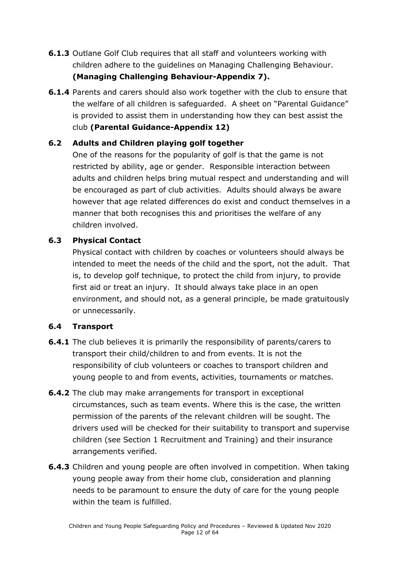- **6.1.3** Outlane Golf Club requires that all staff and volunteers working with children adhere to the guidelines on Managing Challenging Behaviour. **(Managing Challenging Behaviour-Appendix 7).**
- **6.1.4** Parents and carers should also work together with the club to ensure that the welfare of all children is safeguarded. A sheet on "Parental Guidance" is provided to assist them in understanding how they can best assist the club **(Parental Guidance-Appendix 12)**

#### **6.2 Adults and Children playing golf together**

One of the reasons for the popularity of golf is that the game is not restricted by ability, age or gender. Responsible interaction between adults and children helps bring mutual respect and understanding and will be encouraged as part of club activities. Adults should always be aware however that age related differences do exist and conduct themselves in a manner that both recognises this and prioritises the welfare of any children involved.

#### **6.3 Physical Contact**

Physical contact with children by coaches or volunteers should always be intended to meet the needs of the child and the sport, not the adult. That is, to develop golf technique, to protect the child from injury, to provide first aid or treat an injury. It should always take place in an open environment, and should not, as a general principle, be made gratuitously or unnecessarily.

#### **6.4 Transport**

- **6.4.1** The club believes it is primarily the responsibility of parents/carers to transport their child/children to and from events. It is not the responsibility of club volunteers or coaches to transport children and young people to and from events, activities, tournaments or matches.
- **6.4.2** The club may make arrangements for transport in exceptional circumstances, such as team events. Where this is the case, the written permission of the parents of the relevant children will be sought. The drivers used will be checked for their suitability to transport and supervise children (see Section 1 Recruitment and Training) and their insurance arrangements verified.
- **6.4.3** Children and young people are often involved in competition. When taking young people away from their home club, consideration and planning needs to be paramount to ensure the duty of care for the young people within the team is fulfilled.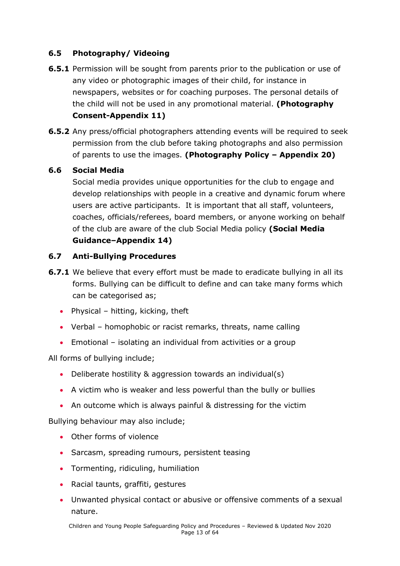#### **6.5 Photography/ Videoing**

- **6.5.1** Permission will be sought from parents prior to the publication or use of any video or photographic images of their child, for instance in newspapers, websites or for coaching purposes. The personal details of the child will not be used in any promotional material. **(Photography Consent-Appendix 11)**
- **6.5.2** Any press/official photographers attending events will be required to seek permission from the club before taking photographs and also permission of parents to use the images. **(Photography Policy – Appendix 20)**

#### **6.6 Social Media**

Social media provides unique opportunities for the club to engage and develop relationships with people in a creative and dynamic forum where users are active participants. It is important that all staff, volunteers, coaches, officials/referees, board members, or anyone working on behalf of the club are aware of the club Social Media policy **(Social Media Guidance–Appendix 14)**

#### **6.7 Anti-Bullying Procedures**

- **6.7.1** We believe that every effort must be made to eradicate bullying in all its forms. Bullying can be difficult to define and can take many forms which can be categorised as;
	- Physical hitting, kicking, theft
	- Verbal homophobic or racist remarks, threats, name calling
	- Emotional isolating an individual from activities or a group

All forms of bullying include;

- Deliberate hostility & aggression towards an individual(s)
- A victim who is weaker and less powerful than the bully or bullies
- An outcome which is always painful & distressing for the victim

Bullying behaviour may also include;

- Other forms of violence
- Sarcasm, spreading rumours, persistent teasing
- Tormenting, ridiculing, humiliation
- Racial taunts, graffiti, gestures
- Unwanted physical contact or abusive or offensive comments of a sexual nature.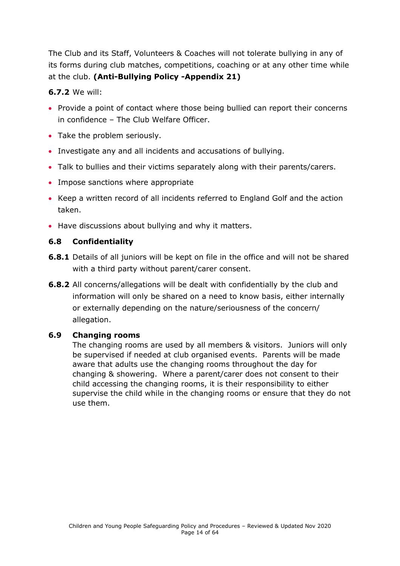The Club and its Staff, Volunteers & Coaches will not tolerate bullying in any of its forms during club matches, competitions, coaching or at any other time while at the club. **(Anti-Bullying Policy -Appendix 21)**

#### **6.7.2** We will:

- Provide a point of contact where those being bullied can report their concerns in confidence – The Club Welfare Officer.
- Take the problem seriously.
- Investigate any and all incidents and accusations of bullying.
- Talk to bullies and their victims separately along with their parents/carers.
- Impose sanctions where appropriate
- Keep a written record of all incidents referred to England Golf and the action taken.
- Have discussions about bullying and why it matters.

#### **6.8 Confidentiality**

- **6.8.1** Details of all juniors will be kept on file in the office and will not be shared with a third party without parent/carer consent.
- **6.8.2** All concerns/allegations will be dealt with confidentially by the club and information will only be shared on a need to know basis, either internally or externally depending on the nature/seriousness of the concern/ allegation.

#### **6.9 Changing rooms**

The changing rooms are used by all members & visitors. Juniors will only be supervised if needed at club organised events. Parents will be made aware that adults use the changing rooms throughout the day for changing & showering. Where a parent/carer does not consent to their child accessing the changing rooms, it is their responsibility to either supervise the child while in the changing rooms or ensure that they do not use them.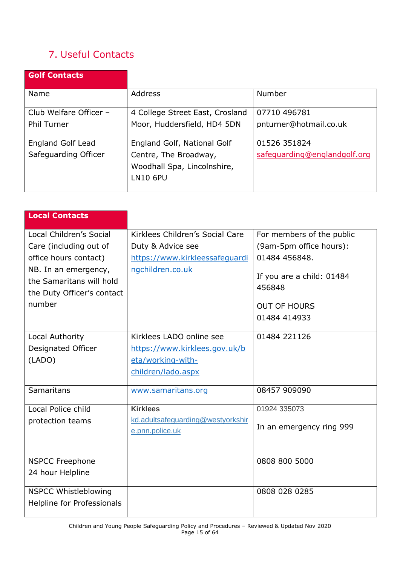### <span id="page-14-0"></span>7. Useful Contacts

| <b>Golf Contacts</b>     |                                 |                              |
|--------------------------|---------------------------------|------------------------------|
| Name                     | <b>Address</b>                  | Number                       |
| Club Welfare Officer -   | 4 College Street East, Crosland | 07710 496781                 |
| <b>Phil Turner</b>       | Moor, Huddersfield, HD4 5DN     | pnturner@hotmail.co.uk       |
| <b>England Golf Lead</b> | England Golf, National Golf     | 01526 351824                 |
| Safeguarding Officer     | Centre, The Broadway,           | safequarding@englandgolf.org |
|                          | Woodhall Spa, Lincolnshire,     |                              |
|                          | <b>LN10 6PU</b>                 |                              |

| <b>Local Contacts</b>                                                                                                                                                  |                                                                                                            |                                                                                                                                                     |
|------------------------------------------------------------------------------------------------------------------------------------------------------------------------|------------------------------------------------------------------------------------------------------------|-----------------------------------------------------------------------------------------------------------------------------------------------------|
| Local Children's Social<br>Care (including out of<br>office hours contact)<br>NB. In an emergency,<br>the Samaritans will hold<br>the Duty Officer's contact<br>number | Kirklees Children's Social Care<br>Duty & Advice see<br>https://www.kirkleessafeguardi<br>ngchildren.co.uk | For members of the public<br>(9am-5pm office hours):<br>01484 456848.<br>If you are a child: 01484<br>456848<br><b>OUT OF HOURS</b><br>01484 414933 |
| Local Authority<br>Designated Officer<br>(LADO)                                                                                                                        | Kirklees LADO online see<br>https://www.kirklees.gov.uk/b<br>eta/working-with-<br>children/lado.aspx       | 01484 221126                                                                                                                                        |
| Samaritans                                                                                                                                                             | www.samaritans.org                                                                                         | 08457 909090                                                                                                                                        |
| Local Police child<br>protection teams                                                                                                                                 | <b>Kirklees</b><br>kd.adultsafeguarding@westyorkshir<br>e.pnn.police.uk                                    | 01924 335073<br>In an emergency ring 999                                                                                                            |
| <b>NSPCC Freephone</b><br>24 hour Helpline                                                                                                                             |                                                                                                            | 0808 800 5000                                                                                                                                       |
| <b>NSPCC Whistleblowing</b><br>Helpline for Professionals                                                                                                              |                                                                                                            | 0808 028 0285                                                                                                                                       |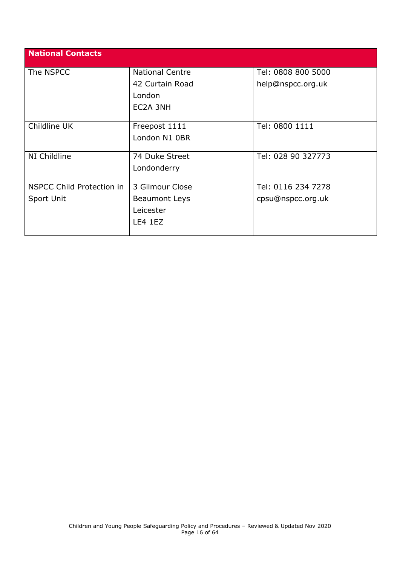<span id="page-15-0"></span>

| <b>National Contacts</b>  |                        |                    |
|---------------------------|------------------------|--------------------|
| The NSPCC                 | <b>National Centre</b> | Tel: 0808 800 5000 |
|                           | 42 Curtain Road        | help@nspcc.org.uk  |
|                           | London                 |                    |
|                           | EC2A 3NH               |                    |
|                           |                        |                    |
| Childline UK              | Freepost 1111          | Tel: 0800 1111     |
|                           | London N1 0BR          |                    |
|                           |                        |                    |
| NI Childline              | 74 Duke Street         | Tel: 028 90 327773 |
|                           | Londonderry            |                    |
|                           |                        |                    |
| NSPCC Child Protection in | 3 Gilmour Close        | Tel: 0116 234 7278 |
| Sport Unit                | <b>Beaumont Leys</b>   | cpsu@nspcc.org.uk  |
|                           | Leicester              |                    |
|                           | LE4 1EZ                |                    |
|                           |                        |                    |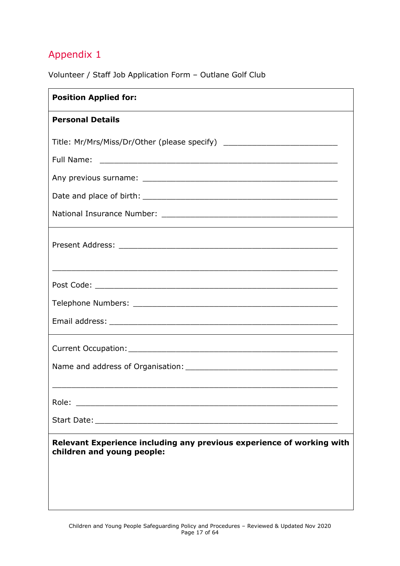Volunteer / Staff Job Application Form – Outlane Golf Club

| <b>Position Applied for:</b>                                                                        |
|-----------------------------------------------------------------------------------------------------|
| <b>Personal Details</b>                                                                             |
| Title: Mr/Mrs/Miss/Dr/Other (please specify) ___________________________________                    |
|                                                                                                     |
|                                                                                                     |
|                                                                                                     |
|                                                                                                     |
| <u> 1990 - Jan James Barnett, fransk politik (d. 1980)</u>                                          |
|                                                                                                     |
|                                                                                                     |
|                                                                                                     |
|                                                                                                     |
|                                                                                                     |
|                                                                                                     |
| Role:                                                                                               |
|                                                                                                     |
| Relevant Experience including any previous experience of working with<br>children and young people: |
|                                                                                                     |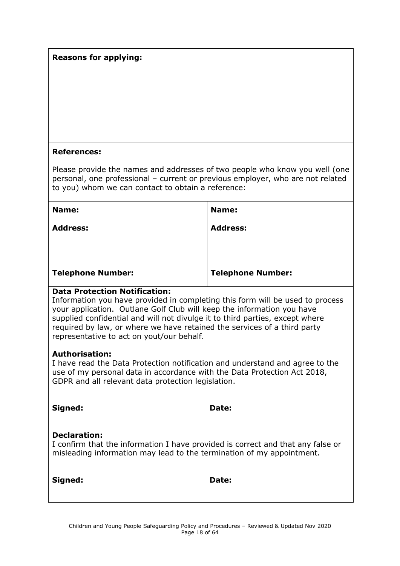#### **Reasons for applying:**

#### **References:**

Please provide the names and addresses of two people who know you well (one personal, one professional – current or previous employer, who are not related to you) whom we can contact to obtain a reference:

| Name:                    | Name:                    |
|--------------------------|--------------------------|
| <b>Address:</b>          | <b>Address:</b>          |
| <b>Telephone Number:</b> | <b>Telephone Number:</b> |

#### **Data Protection Notification:**

Information you have provided in completing this form will be used to process your application. Outlane Golf Club will keep the information you have supplied confidential and will not divulge it to third parties, except where required by law, or where we have retained the services of a third party representative to act on yout/our behalf.

#### **Authorisation:**

I have read the Data Protection notification and understand and agree to the use of my personal data in accordance with the Data Protection Act 2018, GDPR and all relevant data protection legislation.

| Signed:                                                                                                                                                                         | Date: |
|---------------------------------------------------------------------------------------------------------------------------------------------------------------------------------|-------|
| <b>Declaration:</b><br>I confirm that the information I have provided is correct and that any false or<br>misleading information may lead to the termination of my appointment. |       |

**Signed: Date:**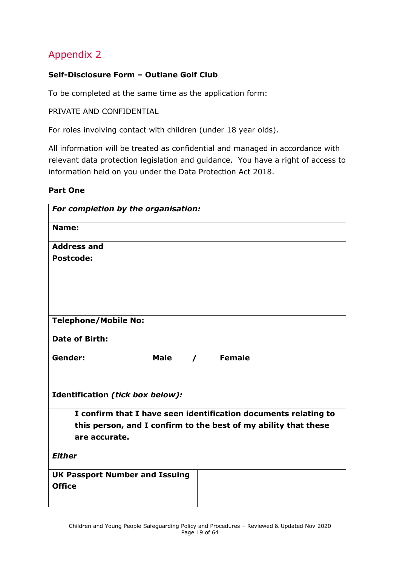#### <span id="page-18-0"></span>**Self-Disclosure Form – Outlane Golf Club**

To be completed at the same time as the application form:

PRIVATE AND CONFIDENTIAL

For roles involving contact with children (under 18 year olds).

All information will be treated as confidential and managed in accordance with relevant data protection legislation and guidance. You have a right of access to information held on you under the Data Protection Act 2018.

#### **Part One**

| For completion by the organisation:                                                                                                |             |          |  |
|------------------------------------------------------------------------------------------------------------------------------------|-------------|----------|--|
| Name:                                                                                                                              |             |          |  |
| <b>Address and</b>                                                                                                                 |             |          |  |
| <b>Postcode:</b>                                                                                                                   |             |          |  |
|                                                                                                                                    |             |          |  |
|                                                                                                                                    |             |          |  |
|                                                                                                                                    |             |          |  |
| <b>Telephone/Mobile No:</b>                                                                                                        |             |          |  |
|                                                                                                                                    |             |          |  |
| <b>Date of Birth:</b>                                                                                                              |             |          |  |
| Gender:                                                                                                                            | <b>Male</b> | / Female |  |
| Identification (tick box below):                                                                                                   |             |          |  |
|                                                                                                                                    |             |          |  |
| I confirm that I have seen identification documents relating to<br>this person, and I confirm to the best of my ability that these |             |          |  |
| are accurate.                                                                                                                      |             |          |  |
| <b>Either</b>                                                                                                                      |             |          |  |
| <b>UK Passport Number and Issuing</b>                                                                                              |             |          |  |
| <b>Office</b>                                                                                                                      |             |          |  |
|                                                                                                                                    |             |          |  |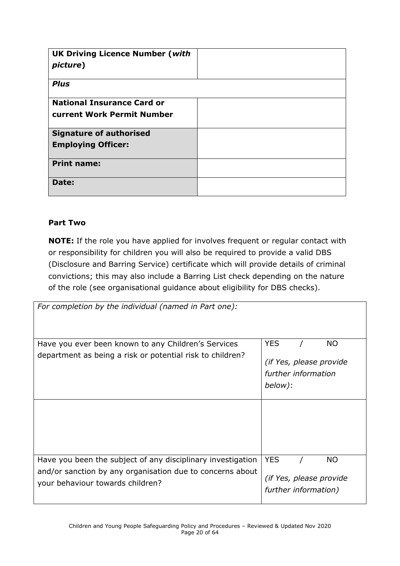| <b>UK Driving Licence Number (with</b><br>picture) |  |
|----------------------------------------------------|--|
| <b>Plus</b>                                        |  |
| <b>National Insurance Card or</b>                  |  |
| <b>current Work Permit Number</b>                  |  |
| <b>Signature of authorised</b>                     |  |
| <b>Employing Officer:</b>                          |  |
| <b>Print name:</b>                                 |  |
| Date:                                              |  |

#### **Part Two**

**NOTE:** If the role you have applied for involves frequent or regular contact with or responsibility for children you will also be required to provide a valid DBS (Disclosure and Barring Service) certificate which will provide details of criminal convictions; this may also include a Barring List check depending on the nature of the role (see organisational guidance about eligibility for DBS checks).

| For completion by the individual (named in Part one):                                                                                                        |                                                                                      |
|--------------------------------------------------------------------------------------------------------------------------------------------------------------|--------------------------------------------------------------------------------------|
| Have you ever been known to any Children's Services<br>department as being a risk or potential risk to children?                                             | <b>YES</b><br><b>NO</b><br>(if Yes, please provide<br>further information<br>below): |
|                                                                                                                                                              |                                                                                      |
| Have you been the subject of any disciplinary investigation<br>and/or sanction by any organisation due to concerns about<br>your behaviour towards children? | <b>YES</b><br><b>NO</b><br>(if Yes, please provide<br>further information)           |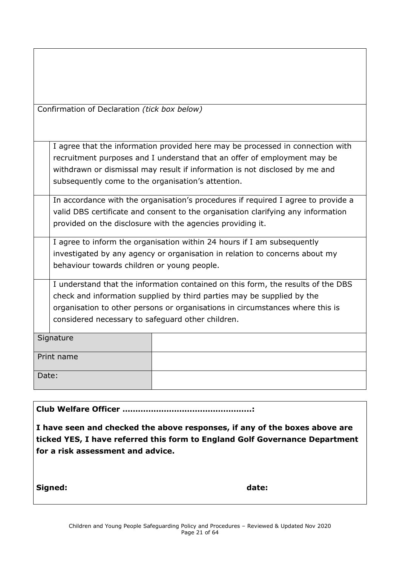| Confirmation of Declaration (tick box below) |  |
|----------------------------------------------|--|
|----------------------------------------------|--|

I agree that the information provided here may be processed in connection with recruitment purposes and I understand that an offer of employment may be withdrawn or dismissal may result if information is not disclosed by me and subsequently come to the organisation's attention.

In accordance with the organisation's procedures if required I agree to provide a valid DBS certificate and consent to the organisation clarifying any information provided on the disclosure with the agencies providing it.

I agree to inform the organisation within 24 hours if I am subsequently investigated by any agency or organisation in relation to concerns about my behaviour towards children or young people.

I understand that the information contained on this form, the results of the DBS check and information supplied by third parties may be supplied by the organisation to other persons or organisations in circumstances where this is considered necessary to safeguard other children.

| Signature  |  |
|------------|--|
| Print name |  |
| Date:      |  |

**Club Welfare Officer …………………………………………..:**

**I have seen and checked the above responses, if any of the boxes above are ticked YES, I have referred this form to England Golf Governance Department for a risk assessment and advice.**

Signed: **date: date: date: date:**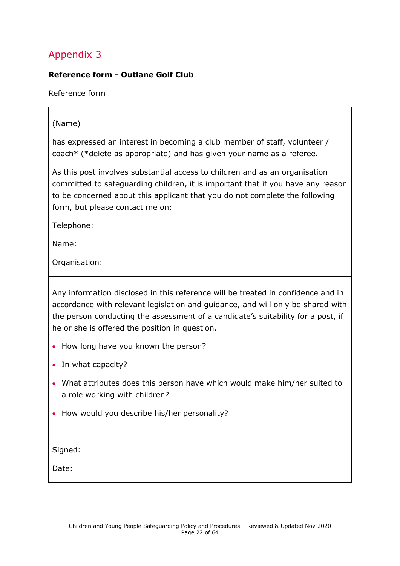#### <span id="page-21-0"></span>**Reference form - Outlane Golf Club**

Reference form

#### (Name)

has expressed an interest in becoming a club member of staff, volunteer / coach\* (\*delete as appropriate) and has given your name as a referee.

As this post involves substantial access to children and as an organisation committed to safeguarding children, it is important that if you have any reason to be concerned about this applicant that you do not complete the following form, but please contact me on:

Telephone:

Name:

Organisation:

Any information disclosed in this reference will be treated in confidence and in accordance with relevant legislation and guidance, and will only be shared with the person conducting the assessment of a candidate's suitability for a post, if he or she is offered the position in question.

- How long have you known the person?
- In what capacity?
- What attributes does this person have which would make him/her suited to a role working with children?
- How would you describe his/her personality?

Signed:

Date: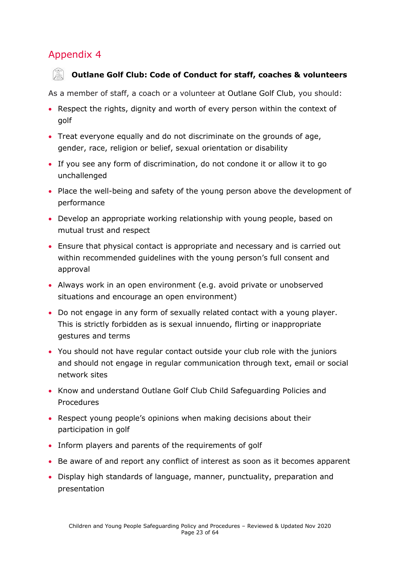#### <span id="page-22-0"></span>**Outlane Golf Club: Code of Conduct for staff, coaches & volunteers**

As a member of staff, a coach or a volunteer at Outlane Golf Club, you should:

- Respect the rights, dignity and worth of every person within the context of golf
- Treat everyone equally and do not discriminate on the grounds of age, gender, race, religion or belief, sexual orientation or disability
- If you see any form of discrimination, do not condone it or allow it to go unchallenged
- Place the well-being and safety of the young person above the development of performance
- Develop an appropriate working relationship with young people, based on mutual trust and respect
- Ensure that physical contact is appropriate and necessary and is carried out within recommended guidelines with the young person's full consent and approval
- Always work in an open environment (e.g. avoid private or unobserved situations and encourage an open environment)
- Do not engage in any form of sexually related contact with a young player. This is strictly forbidden as is sexual innuendo, flirting or inappropriate gestures and terms
- You should not have regular contact outside your club role with the juniors and should not engage in regular communication through text, email or social network sites
- Know and understand Outlane Golf Club Child Safeguarding Policies and Procedures
- Respect young people's opinions when making decisions about their participation in golf
- Inform players and parents of the requirements of golf
- Be aware of and report any conflict of interest as soon as it becomes apparent
- Display high standards of language, manner, punctuality, preparation and presentation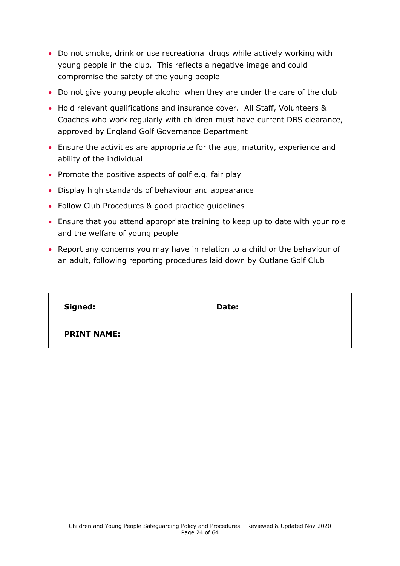- Do not smoke, drink or use recreational drugs while actively working with young people in the club. This reflects a negative image and could compromise the safety of the young people
- Do not give young people alcohol when they are under the care of the club
- Hold relevant qualifications and insurance cover. All Staff, Volunteers & Coaches who work regularly with children must have current DBS clearance, approved by England Golf Governance Department
- Ensure the activities are appropriate for the age, maturity, experience and ability of the individual
- Promote the positive aspects of golf e.g. fair play
- Display high standards of behaviour and appearance
- Follow Club Procedures & good practice guidelines
- Ensure that you attend appropriate training to keep up to date with your role and the welfare of young people
- Report any concerns you may have in relation to a child or the behaviour of an adult, following reporting procedures laid down by Outlane Golf Club

<span id="page-23-0"></span>

| Signed:            | Date: |
|--------------------|-------|
| <b>PRINT NAME:</b> |       |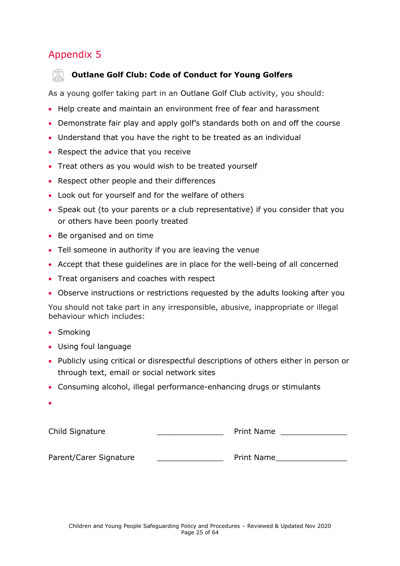

#### **Outlane Golf Club: Code of Conduct for Young Golfers**

As a young golfer taking part in an Outlane Golf Club activity, you should:

- Help create and maintain an environment free of fear and harassment
- Demonstrate fair play and apply golf's standards both on and off the course
- Understand that you have the right to be treated as an individual
- Respect the advice that you receive
- Treat others as you would wish to be treated yourself
- Respect other people and their differences
- Look out for yourself and for the welfare of others
- Speak out (to your parents or a club representative) if you consider that you or others have been poorly treated
- Be organised and on time
- Tell someone in authority if you are leaving the venue
- Accept that these guidelines are in place for the well-being of all concerned
- Treat organisers and coaches with respect
- Observe instructions or restrictions requested by the adults looking after you

You should not take part in any irresponsible, abusive, inappropriate or illegal behaviour which includes:

- Smoking
- Using foul language
- Publicly using critical or disrespectful descriptions of others either in person or through text, email or social network sites
- Consuming alcohol, illegal performance-enhancing drugs or stimulants

| <b>Service Service</b>                                                                                                   |  |
|--------------------------------------------------------------------------------------------------------------------------|--|
| and the state of the state of the state of the state of the state of the state of the state of the state of th<br>×<br>٠ |  |
|                                                                                                                          |  |

| Child Signature        | <b>Print Name</b> |  |
|------------------------|-------------------|--|
| Parent/Carer Signature | Print Name        |  |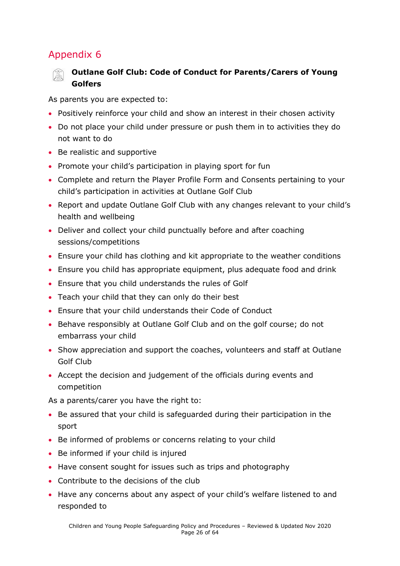#### <span id="page-25-0"></span>**Outlane Golf Club: Code of Conduct for Parents/Carers of Young Golfers**

As parents you are expected to:

- Positively reinforce your child and show an interest in their chosen activity
- Do not place your child under pressure or push them in to activities they do not want to do
- Be realistic and supportive
- Promote your child's participation in playing sport for fun
- Complete and return the Player Profile Form and Consents pertaining to your child's participation in activities at Outlane Golf Club
- Report and update Outlane Golf Club with any changes relevant to your child's health and wellbeing
- Deliver and collect your child punctually before and after coaching sessions/competitions
- Ensure your child has clothing and kit appropriate to the weather conditions
- Ensure you child has appropriate equipment, plus adequate food and drink
- Ensure that you child understands the rules of Golf
- Teach your child that they can only do their best
- Ensure that your child understands their Code of Conduct
- Behave responsibly at Outlane Golf Club and on the golf course; do not embarrass your child
- Show appreciation and support the coaches, volunteers and staff at Outlane Golf Club
- Accept the decision and judgement of the officials during events and competition

As a parents/carer you have the right to:

- Be assured that your child is safeguarded during their participation in the sport
- Be informed of problems or concerns relating to your child
- Be informed if your child is injured
- Have consent sought for issues such as trips and photography
- Contribute to the decisions of the club
- Have any concerns about any aspect of your child's welfare listened to and responded to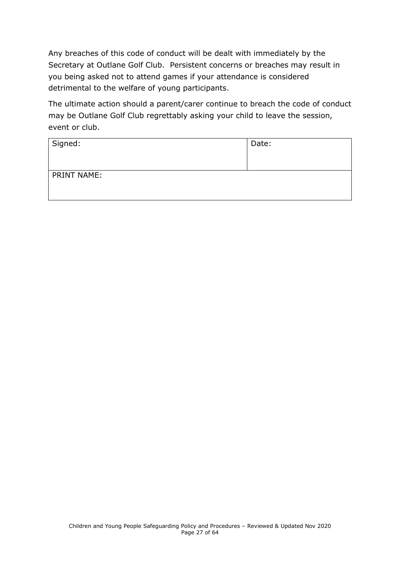Any breaches of this code of conduct will be dealt with immediately by the Secretary at Outlane Golf Club. Persistent concerns or breaches may result in you being asked not to attend games if your attendance is considered detrimental to the welfare of young participants.

The ultimate action should a parent/carer continue to breach the code of conduct may be Outlane Golf Club regrettably asking your child to leave the session, event or club.

| Signed:            | Date: |
|--------------------|-------|
| <b>PRINT NAME:</b> |       |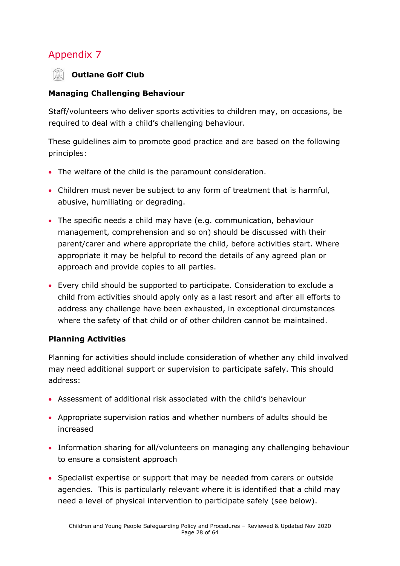

#### **Managing Challenging Behaviour**

Staff/volunteers who deliver sports activities to children may, on occasions, be required to deal with a child's challenging behaviour.

These guidelines aim to promote good practice and are based on the following principles:

- The welfare of the child is the paramount consideration.
- Children must never be subject to any form of treatment that is harmful, abusive, humiliating or degrading.
- The specific needs a child may have (e.g. communication, behaviour management, comprehension and so on) should be discussed with their parent/carer and where appropriate the child, before activities start. Where appropriate it may be helpful to record the details of any agreed plan or approach and provide copies to all parties.
- Every child should be supported to participate. Consideration to exclude a child from activities should apply only as a last resort and after all efforts to address any challenge have been exhausted, in exceptional circumstances where the safety of that child or of other children cannot be maintained.

#### **Planning Activities**

Planning for activities should include consideration of whether any child involved may need additional support or supervision to participate safely. This should address:

- Assessment of additional risk associated with the child's behaviour
- Appropriate supervision ratios and whether numbers of adults should be increased
- Information sharing for all/volunteers on managing any challenging behaviour to ensure a consistent approach
- Specialist expertise or support that may be needed from carers or outside agencies. This is particularly relevant where it is identified that a child may need a level of physical intervention to participate safely (see below).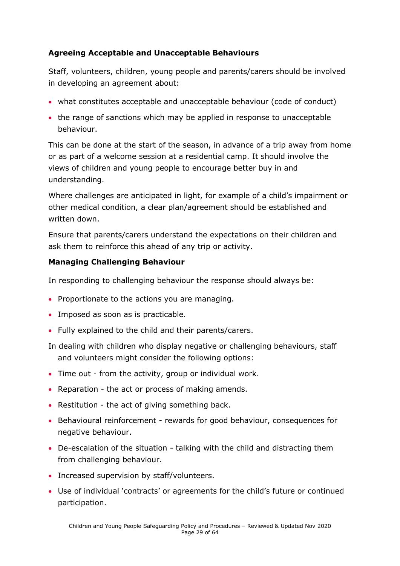#### **Agreeing Acceptable and Unacceptable Behaviours**

Staff, volunteers, children, young people and parents/carers should be involved in developing an agreement about:

- what constitutes acceptable and unacceptable behaviour (code of conduct)
- the range of sanctions which may be applied in response to unacceptable behaviour.

This can be done at the start of the season, in advance of a trip away from home or as part of a welcome session at a residential camp. It should involve the views of children and young people to encourage better buy in and understanding.

Where challenges are anticipated in light, for example of a child's impairment or other medical condition, a clear plan/agreement should be established and written down.

Ensure that parents/carers understand the expectations on their children and ask them to reinforce this ahead of any trip or activity.

#### **Managing Challenging Behaviour**

In responding to challenging behaviour the response should always be:

- Proportionate to the actions you are managing.
- Imposed as soon as is practicable.
- Fully explained to the child and their parents/carers.
- In dealing with children who display negative or challenging behaviours, staff and volunteers might consider the following options:
- Time out from the activity, group or individual work.
- Reparation the act or process of making amends.
- Restitution the act of giving something back.
- Behavioural reinforcement rewards for good behaviour, consequences for negative behaviour.
- De-escalation of the situation talking with the child and distracting them from challenging behaviour.
- Increased supervision by staff/volunteers.
- Use of individual 'contracts' or agreements for the child's future or continued participation.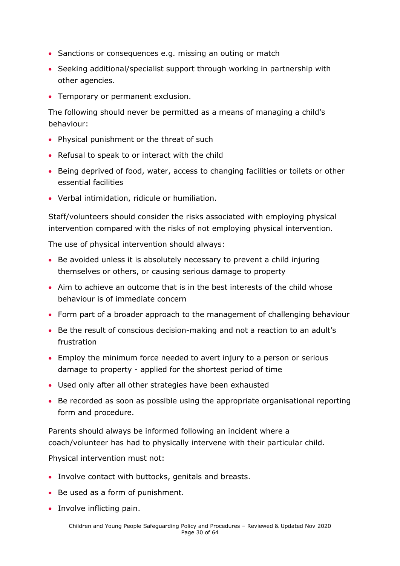- Sanctions or consequences e.g. missing an outing or match
- Seeking additional/specialist support through working in partnership with other agencies.
- Temporary or permanent exclusion.

The following should never be permitted as a means of managing a child's behaviour:

- Physical punishment or the threat of such
- Refusal to speak to or interact with the child
- Being deprived of food, water, access to changing facilities or toilets or other essential facilities
- Verbal intimidation, ridicule or humiliation.

Staff/volunteers should consider the risks associated with employing physical intervention compared with the risks of not employing physical intervention.

The use of physical intervention should always:

- Be avoided unless it is absolutely necessary to prevent a child injuring themselves or others, or causing serious damage to property
- Aim to achieve an outcome that is in the best interests of the child whose behaviour is of immediate concern
- Form part of a broader approach to the management of challenging behaviour
- Be the result of conscious decision-making and not a reaction to an adult's frustration
- Employ the minimum force needed to avert injury to a person or serious damage to property - applied for the shortest period of time
- Used only after all other strategies have been exhausted
- Be recorded as soon as possible using the appropriate organisational reporting form and procedure.

Parents should always be informed following an incident where a coach/volunteer has had to physically intervene with their particular child.

Physical intervention must not:

- Involve contact with buttocks, genitals and breasts.
- Be used as a form of punishment.
- Involve inflicting pain.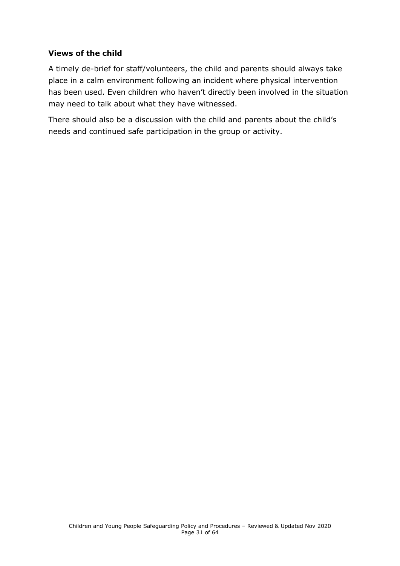#### **Views of the child**

A timely de-brief for staff/volunteers, the child and parents should always take place in a calm environment following an incident where physical intervention has been used. Even children who haven't directly been involved in the situation may need to talk about what they have witnessed.

There should also be a discussion with the child and parents about the child's needs and continued safe participation in the group or activity.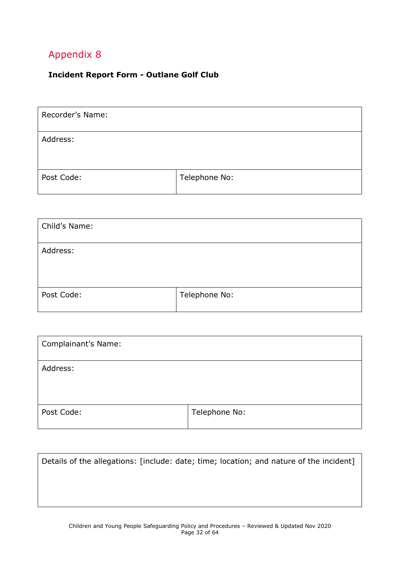#### <span id="page-31-0"></span>**Incident Report Form - Outlane Golf Club**

| Recorder's Name: |               |
|------------------|---------------|
| Address:         |               |
| Post Code:       | Telephone No: |

| Child's Name: |               |
|---------------|---------------|
| Address:      |               |
| Post Code:    | Telephone No: |

| <b>Complainant's Name:</b> |               |
|----------------------------|---------------|
| Address:                   |               |
| Post Code:                 | Telephone No: |

| Details of the allegations: [include: date; time; location; and nature of the incident] |  |  |  |
|-----------------------------------------------------------------------------------------|--|--|--|
|                                                                                         |  |  |  |
|                                                                                         |  |  |  |
|                                                                                         |  |  |  |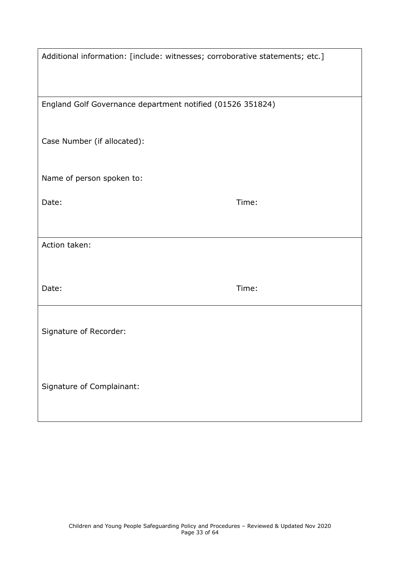| Additional information: [include: witnesses; corroborative statements; etc.] |       |
|------------------------------------------------------------------------------|-------|
| England Golf Governance department notified (01526 351824)                   |       |
| Case Number (if allocated):                                                  |       |
| Name of person spoken to:                                                    |       |
| Date:                                                                        | Time: |
| Action taken:                                                                |       |
|                                                                              |       |
| Date:                                                                        | Time: |
| Signature of Recorder:                                                       |       |
| Signature of Complainant:                                                    |       |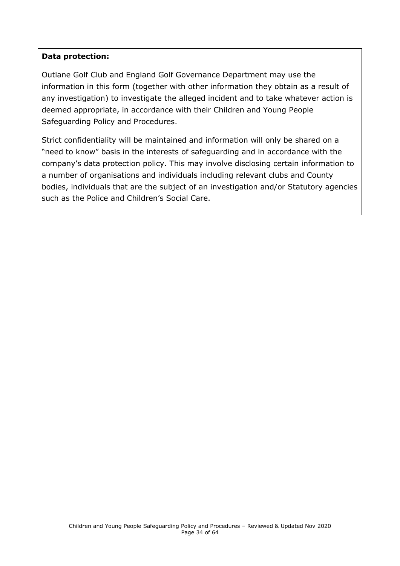#### **Data protection:**

Outlane Golf Club and England Golf Governance Department may use the information in this form (together with other information they obtain as a result of any investigation) to investigate the alleged incident and to take whatever action is deemed appropriate, in accordance with their Children and Young People Safeguarding Policy and Procedures.

<span id="page-33-0"></span>Strict confidentiality will be maintained and information will only be shared on a "need to know" basis in the interests of safeguarding and in accordance with the company's data protection policy. This may involve disclosing certain information to a number of organisations and individuals including relevant clubs and County bodies, individuals that are the subject of an investigation and/or Statutory agencies such as the Police and Children's Social Care.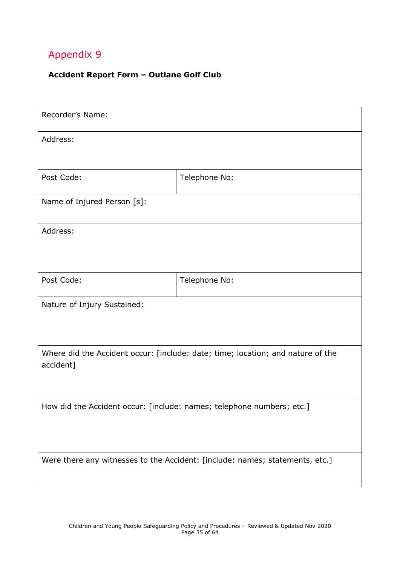#### **Accident Report Form – Outlane Golf Club**

| Recorder's Name:                                                                             |                                                                              |  |
|----------------------------------------------------------------------------------------------|------------------------------------------------------------------------------|--|
| Address:                                                                                     |                                                                              |  |
| Post Code:                                                                                   | Telephone No:                                                                |  |
| Name of Injured Person [s]:                                                                  |                                                                              |  |
| Address:                                                                                     |                                                                              |  |
| Post Code:                                                                                   | Telephone No:                                                                |  |
| Nature of Injury Sustained:                                                                  |                                                                              |  |
| Where did the Accident occur: [include: date; time; location; and nature of the<br>accident] |                                                                              |  |
| How did the Accident occur: [include: names; telephone numbers; etc.]                        |                                                                              |  |
|                                                                                              | Were there any witnesses to the Accident: [include: names; statements, etc.] |  |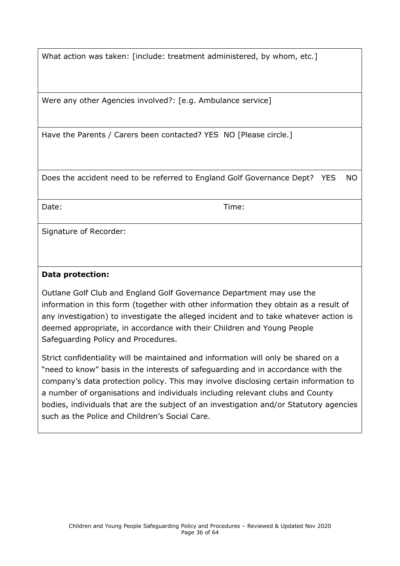What action was taken: [include: treatment administered, by whom, etc.]

Were any other Agencies involved?: [e.g. Ambulance service]

Have the Parents / Carers been contacted? YES NO [Please circle.]

Does the accident need to be referred to England Golf Governance Dept? YES NO

Date: Time:

Signature of Recorder:

#### **Data protection:**

Outlane Golf Club and England Golf Governance Department may use the information in this form (together with other information they obtain as a result of any investigation) to investigate the alleged incident and to take whatever action is deemed appropriate, in accordance with their Children and Young People Safeguarding Policy and Procedures.

Strict confidentiality will be maintained and information will only be shared on a "need to know" basis in the interests of safeguarding and in accordance with the company's data protection policy. This may involve disclosing certain information to a number of organisations and individuals including relevant clubs and County bodies, individuals that are the subject of an investigation and/or Statutory agencies such as the Police and Children's Social Care.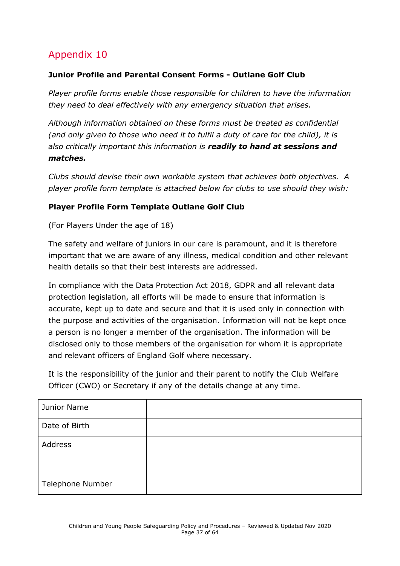#### <span id="page-36-0"></span>**Junior Profile and Parental Consent Forms - Outlane Golf Club**

*Player profile forms enable those responsible for children to have the information they need to deal effectively with any emergency situation that arises.*

*Although information obtained on these forms must be treated as confidential (and only given to those who need it to fulfil a duty of care for the child), it is also critically important this information is readily to hand at sessions and matches.*

*Clubs should devise their own workable system that achieves both objectives. A player profile form template is attached below for clubs to use should they wish:* 

#### **Player Profile Form Template Outlane Golf Club**

(For Players Under the age of 18)

The safety and welfare of juniors in our care is paramount, and it is therefore important that we are aware of any illness, medical condition and other relevant health details so that their best interests are addressed.

In compliance with the Data Protection Act 2018, GDPR and all relevant data protection legislation, all efforts will be made to ensure that information is accurate, kept up to date and secure and that it is used only in connection with the purpose and activities of the organisation. Information will not be kept once a person is no longer a member of the organisation. The information will be disclosed only to those members of the organisation for whom it is appropriate and relevant officers of England Golf where necessary.

It is the responsibility of the junior and their parent to notify the Club Welfare Officer (CWO) or Secretary if any of the details change at any time.

| Junior Name      |  |
|------------------|--|
| Date of Birth    |  |
| Address          |  |
| Telephone Number |  |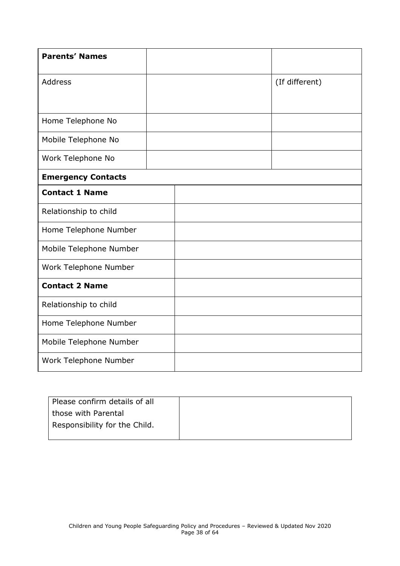| <b>Parents' Names</b>     |  |                |
|---------------------------|--|----------------|
| <b>Address</b>            |  | (If different) |
|                           |  |                |
| Home Telephone No         |  |                |
| Mobile Telephone No       |  |                |
| Work Telephone No         |  |                |
| <b>Emergency Contacts</b> |  |                |
| <b>Contact 1 Name</b>     |  |                |
| Relationship to child     |  |                |
| Home Telephone Number     |  |                |
| Mobile Telephone Number   |  |                |
| Work Telephone Number     |  |                |
| <b>Contact 2 Name</b>     |  |                |
| Relationship to child     |  |                |
| Home Telephone Number     |  |                |
| Mobile Telephone Number   |  |                |
| Work Telephone Number     |  |                |

| Please confirm details of all |  |
|-------------------------------|--|
| those with Parental           |  |
| Responsibility for the Child. |  |
|                               |  |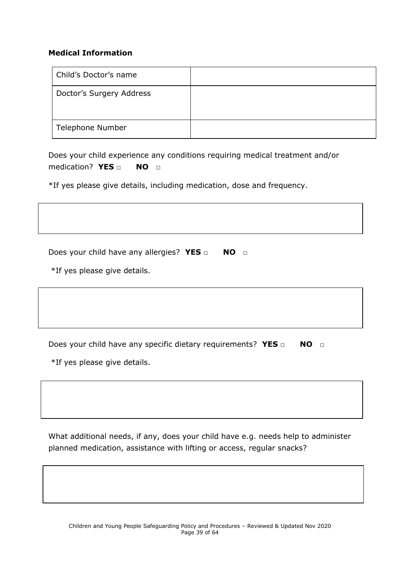#### **Medical Information**

| Child's Doctor's name    |  |
|--------------------------|--|
| Doctor's Surgery Address |  |
| Telephone Number         |  |

Does your child experience any conditions requiring medical treatment and/or medication? **YES** □ **NO** □

\*If yes please give details, including medication, dose and frequency.

Does your child have any allergies? YES □ NO □

\*If yes please give details.

Does your child have any specific dietary requirements? YES □ NO □

\*If yes please give details.

What additional needs, if any, does your child have e.g. needs help to administer planned medication, assistance with lifting or access, regular snacks?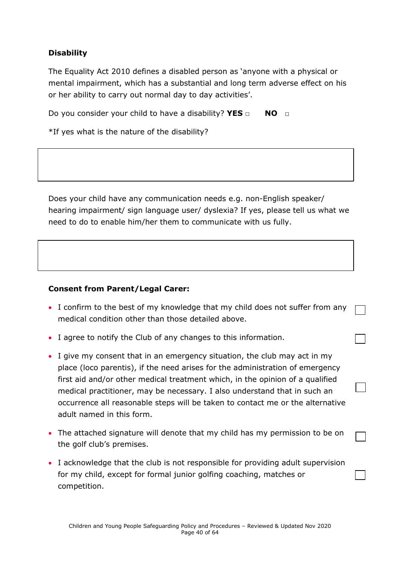#### **Disability**

The Equality Act 2010 defines a disabled person as 'anyone with a physical or mental impairment, which has a substantial and long term adverse effect on his or her ability to carry out normal day to day activities'.

Do you consider your child to have a disability? **YES □ NO □**

\*If yes what is the nature of the disability?

Does your child have any communication needs e.g. non-English speaker/ hearing impairment/ sign language user/ dyslexia? If yes, please tell us what we need to do to enable him/her them to communicate with us fully.

#### **Consent from Parent/Legal Carer:**

- I confirm to the best of my knowledge that my child does not suffer from any medical condition other than those detailed above.
- I agree to notify the Club of any changes to this information.
- I give my consent that in an emergency situation, the club may act in my place (loco parentis), if the need arises for the administration of emergency first aid and/or other medical treatment which, in the opinion of a qualified medical practitioner, may be necessary. I also understand that in such an occurrence all reasonable steps will be taken to contact me or the alternative adult named in this form.
- The attached signature will denote that my child has my permission to be on the golf club's premises.
- I acknowledge that the club is not responsible for providing adult supervision for my child, except for formal junior golfing coaching, matches or competition.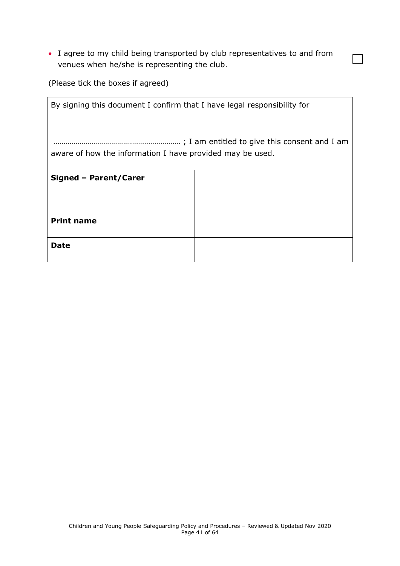• I agree to my child being transported by club representatives to and from venues when he/she is representing the club.

 $\overline{\phantom{0}}$ 

(Please tick the boxes if agreed)

| By signing this document I confirm that I have legal responsibility for |  |  |
|-------------------------------------------------------------------------|--|--|
| aware of how the information I have provided may be used.               |  |  |
| Signed - Parent/Carer                                                   |  |  |
|                                                                         |  |  |
| <b>Print name</b>                                                       |  |  |
| Date                                                                    |  |  |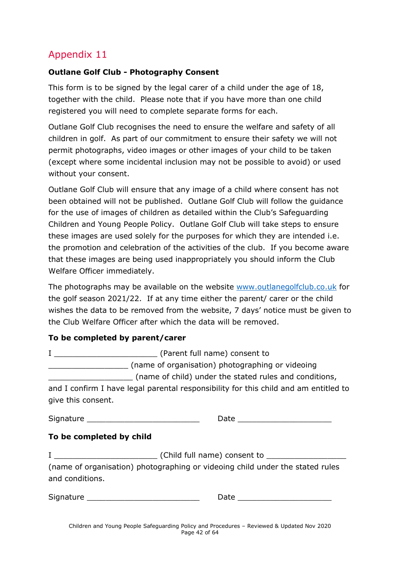#### <span id="page-41-0"></span>**Outlane Golf Club - Photography Consent**

This form is to be signed by the legal carer of a child under the age of 18, together with the child. Please note that if you have more than one child registered you will need to complete separate forms for each.

Outlane Golf Club recognises the need to ensure the welfare and safety of all children in golf. As part of our commitment to ensure their safety we will not permit photographs, video images or other images of your child to be taken (except where some incidental inclusion may not be possible to avoid) or used without your consent.

Outlane Golf Club will ensure that any image of a child where consent has not been obtained will not be published. Outlane Golf Club will follow the guidance for the use of images of children as detailed within the Club's Safeguarding Children and Young People Policy. Outlane Golf Club will take steps to ensure these images are used solely for the purposes for which they are intended i.e. the promotion and celebration of the activities of the club. If you become aware that these images are being used inappropriately you should inform the Club Welfare Officer immediately.

The photographs may be available on the website [www.outlanegolfclub.co.uk](http://www.outlanegolfclub.co.uk/) for the golf season 2021/22. If at any time either the parent/ carer or the child wishes the data to be removed from the website, 7 days' notice must be given to the Club Welfare Officer after which the data will be removed.

#### **To be completed by parent/carer**

|                    | (Parent full name) consent to                                                        |
|--------------------|--------------------------------------------------------------------------------------|
|                    | (name of organisation) photographing or videoing                                     |
|                    | (name of child) under the stated rules and conditions,                               |
|                    | and I confirm I have legal parental responsibility for this child and am entitled to |
| give this consent. |                                                                                      |
| Signature          | Date                                                                                 |

#### **To be completed by child**

I \_\_\_\_\_\_\_\_\_\_\_\_\_\_\_\_\_\_\_\_\_\_ (Child full name) consent to \_\_\_\_\_\_\_\_\_\_\_\_\_\_\_\_\_ (name of organisation) photographing or videoing child under the stated rules and conditions.

<span id="page-41-1"></span>Signature **Example 20** and  $\overline{a}$  Date  $\overline{b}$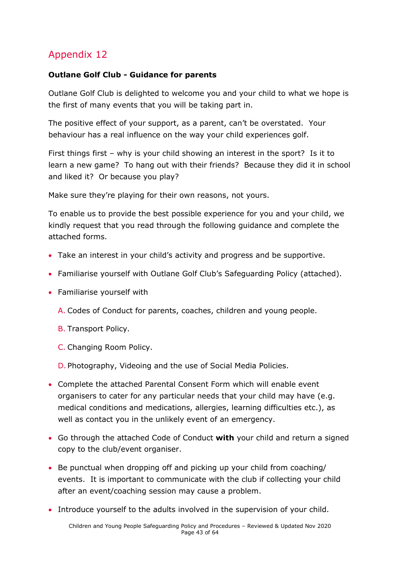#### **Outlane Golf Club - Guidance for parents**

Outlane Golf Club is delighted to welcome you and your child to what we hope is the first of many events that you will be taking part in.

The positive effect of your support, as a parent, can't be overstated. Your behaviour has a real influence on the way your child experiences golf.

First things first – why is your child showing an interest in the sport? Is it to learn a new game? To hang out with their friends? Because they did it in school and liked it? Or because you play?

Make sure they're playing for their own reasons, not yours.

To enable us to provide the best possible experience for you and your child, we kindly request that you read through the following guidance and complete the attached forms.

- Take an interest in your child's activity and progress and be supportive.
- Familiarise yourself with Outlane Golf Club's Safeguarding Policy (attached).
- Familiarise yourself with
	- A. Codes of Conduct for parents, coaches, children and young people.
	- B. Transport Policy.
	- C. Changing Room Policy.

D. Photography, Videoing and the use of Social Media Policies.

- Complete the attached Parental Consent Form which will enable event organisers to cater for any particular needs that your child may have (e.g. medical conditions and medications, allergies, learning difficulties etc.), as well as contact you in the unlikely event of an emergency.
- Go through the attached Code of Conduct **with** your child and return a signed copy to the club/event organiser.
- Be punctual when dropping off and picking up your child from coaching/ events. It is important to communicate with the club if collecting your child after an event/coaching session may cause a problem.
- Introduce yourself to the adults involved in the supervision of your child.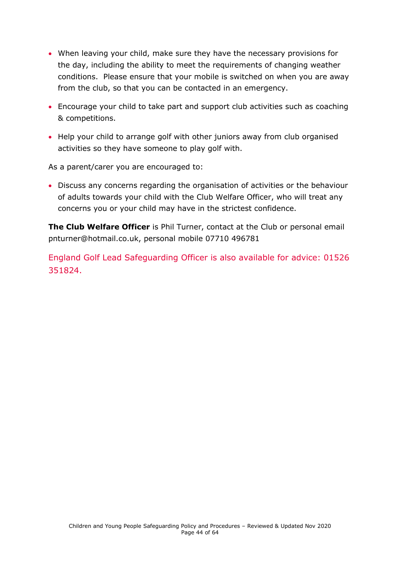- When leaving your child, make sure they have the necessary provisions for the day, including the ability to meet the requirements of changing weather conditions. Please ensure that your mobile is switched on when you are away from the club, so that you can be contacted in an emergency.
- Encourage your child to take part and support club activities such as coaching & competitions.
- Help your child to arrange golf with other juniors away from club organised activities so they have someone to play golf with.

As a parent/carer you are encouraged to:

• Discuss any concerns regarding the organisation of activities or the behaviour of adults towards your child with the Club Welfare Officer, who will treat any concerns you or your child may have in the strictest confidence.

**The Club Welfare Officer** is Phil Turner, contact at the Club or personal email pnturner@hotmail.co.uk, personal mobile 07710 496781

<span id="page-43-0"></span>England Golf Lead Safeguarding Officer is also available for advice: 01526 351824.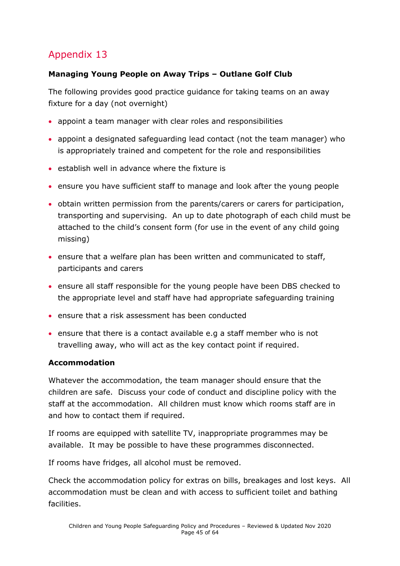#### **Managing Young People on Away Trips – Outlane Golf Club**

The following provides good practice guidance for taking teams on an away fixture for a day (not overnight)

- appoint a team manager with clear roles and responsibilities
- appoint a designated safeguarding lead contact (not the team manager) who is appropriately trained and competent for the role and responsibilities
- establish well in advance where the fixture is
- ensure you have sufficient staff to manage and look after the young people
- obtain written permission from the parents/carers or carers for participation, transporting and supervising. An up to date photograph of each child must be attached to the child's consent form (for use in the event of any child going missing)
- ensure that a welfare plan has been written and communicated to staff, participants and carers
- ensure all staff responsible for the young people have been DBS checked to the appropriate level and staff have had appropriate safeguarding training
- ensure that a risk assessment has been conducted
- ensure that there is a contact available e.g a staff member who is not travelling away, who will act as the key contact point if required.

#### **Accommodation**

Whatever the accommodation, the team manager should ensure that the children are safe. Discuss your code of conduct and discipline policy with the staff at the accommodation. All children must know which rooms staff are in and how to contact them if required.

If rooms are equipped with satellite TV, inappropriate programmes may be available. It may be possible to have these programmes disconnected.

If rooms have fridges, all alcohol must be removed.

Check the accommodation policy for extras on bills, breakages and lost keys. All accommodation must be clean and with access to sufficient toilet and bathing facilities.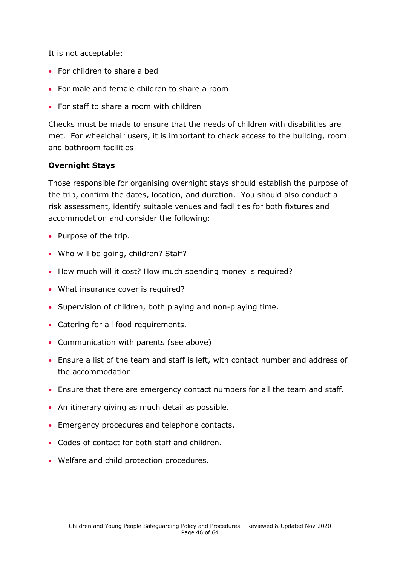It is not acceptable:

- For children to share a bed
- For male and female children to share a room
- For staff to share a room with children

Checks must be made to ensure that the needs of children with disabilities are met. For wheelchair users, it is important to check access to the building, room and bathroom facilities

#### **Overnight Stays**

Those responsible for organising overnight stays should establish the purpose of the trip, confirm the dates, location, and duration. You should also conduct a risk assessment, identify suitable venues and facilities for both fixtures and accommodation and consider the following:

- Purpose of the trip.
- Who will be going, children? Staff?
- How much will it cost? How much spending money is required?
- What insurance cover is required?
- Supervision of children, both playing and non-playing time.
- Catering for all food requirements.
- Communication with parents (see above)
- Ensure a list of the team and staff is left, with contact number and address of the accommodation
- Ensure that there are emergency contact numbers for all the team and staff.
- An itinerary giving as much detail as possible.
- Emergency procedures and telephone contacts.
- Codes of contact for both staff and children.
- <span id="page-45-0"></span>• Welfare and child protection procedures.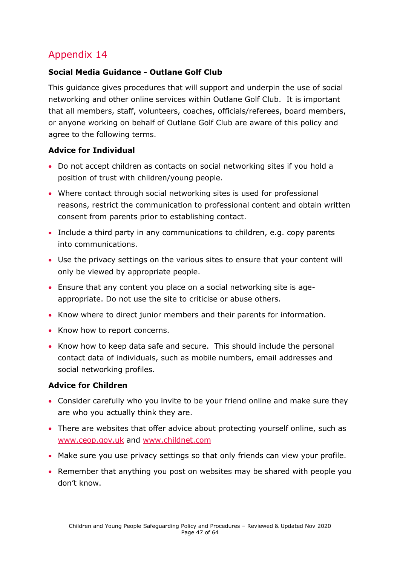#### **Social Media Guidance - Outlane Golf Club**

This guidance gives procedures that will support and underpin the use of social networking and other online services within Outlane Golf Club. It is important that all members, staff, volunteers, coaches, officials/referees, board members, or anyone working on behalf of Outlane Golf Club are aware of this policy and agree to the following terms.

#### **Advice for Individual**

- Do not accept children as contacts on social networking sites if you hold a position of trust with children/young people.
- Where contact through social networking sites is used for professional reasons, restrict the communication to professional content and obtain written consent from parents prior to establishing contact.
- Include a third party in any communications to children, e.g. copy parents into communications.
- Use the privacy settings on the various sites to ensure that your content will only be viewed by appropriate people.
- Ensure that any content you place on a social networking site is ageappropriate. Do not use the site to criticise or abuse others.
- Know where to direct junior members and their parents for information.
- Know how to report concerns.
- Know how to keep data safe and secure. This should include the personal contact data of individuals, such as mobile numbers, email addresses and social networking profiles.

#### **Advice for Children**

- Consider carefully who you invite to be your friend online and make sure they are who you actually think they are.
- There are websites that offer advice about protecting yourself online, such as [www.ceop.gov.uk](http://www.ceop.gov.uk/) and [www.childnet.com](http://www.childnet.com/)
- Make sure you use privacy settings so that only friends can view your profile.
- Remember that anything you post on websites may be shared with people you don't know.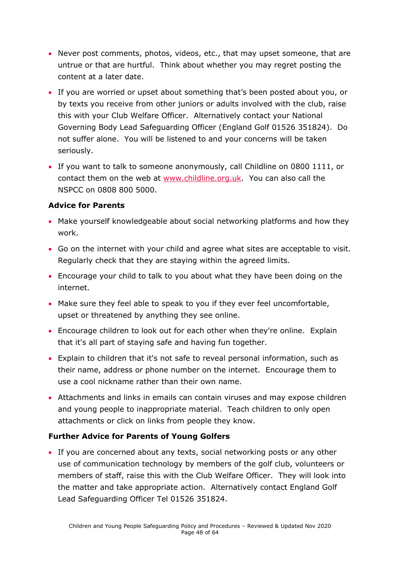- Never post comments, photos, videos, etc., that may upset someone, that are untrue or that are hurtful. Think about whether you may regret posting the content at a later date.
- If you are worried or upset about something that's been posted about you, or by texts you receive from other juniors or adults involved with the club, raise this with your Club Welfare Officer. Alternatively contact your National Governing Body Lead Safeguarding Officer (England Golf 01526 351824). Do not suffer alone. You will be listened to and your concerns will be taken seriously.
- If you want to talk to someone anonymously, call Childline on 0800 1111, or contact them on the web at [www.childline.org.uk.](http://www.childline.org.uk/) You can also call the NSPCC on 0808 800 5000.

#### **Advice for Parents**

- Make yourself knowledgeable about social networking platforms and how they work.
- Go on the internet with your child and agree what sites are acceptable to visit. Regularly check that they are staying within the agreed limits.
- Encourage your child to talk to you about what they have been doing on the internet.
- Make sure they feel able to speak to you if they ever feel uncomfortable, upset or threatened by anything they see online.
- Encourage children to look out for each other when they're online. Explain that it's all part of staying safe and having fun together.
- Explain to children that it's not safe to reveal personal information, such as their name, address or phone number on the internet. Encourage them to use a cool nickname rather than their own name.
- Attachments and links in emails can contain viruses and may expose children and young people to inappropriate material. Teach children to only open attachments or click on links from people they know.

#### **Further Advice for Parents of Young Golfers**

• If you are concerned about any texts, social networking posts or any other use of communication technology by members of the golf club, volunteers or members of staff, raise this with the Club Welfare Officer. They will look into the matter and take appropriate action. Alternatively contact England Golf Lead Safeguarding Officer Tel 01526 351824.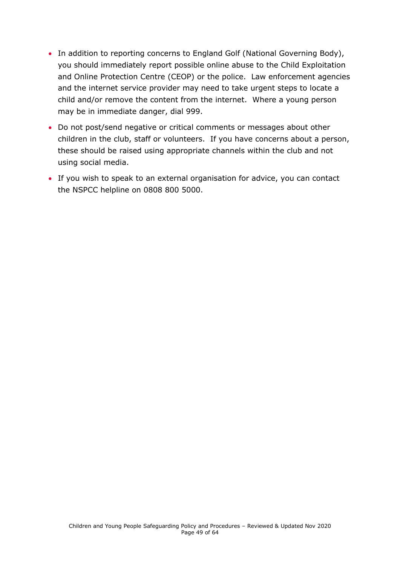- In addition to reporting concerns to England Golf (National Governing Body), you should immediately report possible online abuse to the Child Exploitation and Online Protection Centre (CEOP) or the police. Law enforcement agencies and the internet service provider may need to take urgent steps to locate a child and/or remove the content from the internet. Where a young person may be in immediate danger, dial 999.
- Do not post/send negative or critical comments or messages about other children in the club, staff or volunteers. If you have concerns about a person, these should be raised using appropriate channels within the club and not using social media.
- If you wish to speak to an external organisation for advice, you can contact the NSPCC helpline on 0808 800 5000.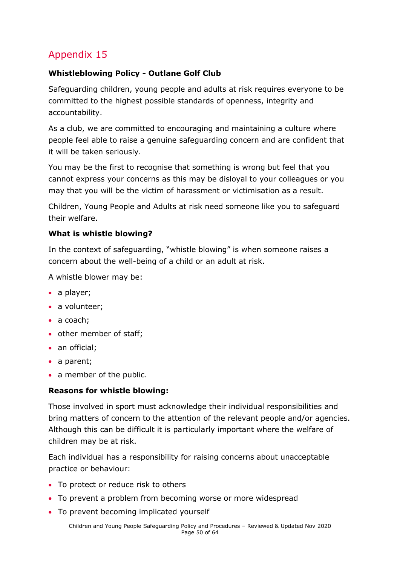#### **Whistleblowing Policy - Outlane Golf Club**

Safeguarding children, young people and adults at risk requires everyone to be committed to the highest possible standards of openness, integrity and accountability.

As a club, we are committed to encouraging and maintaining a culture where people feel able to raise a genuine safeguarding concern and are confident that it will be taken seriously.

You may be the first to recognise that something is wrong but feel that you cannot express your concerns as this may be disloyal to your colleagues or you may that you will be the victim of harassment or victimisation as a result.

Children, Young People and Adults at risk need someone like you to safeguard their welfare.

#### **What is whistle blowing?**

In the context of safeguarding, "whistle blowing" is when someone raises a concern about the well-being of a child or an adult at risk.

A whistle blower may be:

- a player;
- a volunteer:
- a coach;
- other member of staff;
- an official;
- a parent;
- a member of the public.

#### **Reasons for whistle blowing:**

Those involved in sport must acknowledge their individual responsibilities and bring matters of concern to the attention of the relevant people and/or agencies. Although this can be difficult it is particularly important where the welfare of children may be at risk.

Each individual has a responsibility for raising concerns about unacceptable practice or behaviour:

- To protect or reduce risk to others
- To prevent a problem from becoming worse or more widespread
- To prevent becoming implicated yourself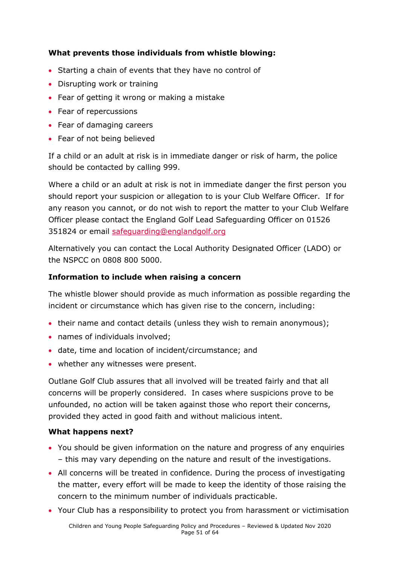#### **What prevents those individuals from whistle blowing:**

- Starting a chain of events that they have no control of
- Disrupting work or training
- Fear of getting it wrong or making a mistake
- Fear of repercussions
- Fear of damaging careers
- Fear of not being believed

If a child or an adult at risk is in immediate danger or risk of harm, the police should be contacted by calling 999.

Where a child or an adult at risk is not in immediate danger the first person you should report your suspicion or allegation to is your Club Welfare Officer. If for any reason you cannot, or do not wish to report the matter to your Club Welfare Officer please contact the England Golf Lead Safeguarding Officer on 01526 351824 or email [safeguarding@englandgolf.org](mailto:safeguarding@englandgolf.org)

Alternatively you can contact the Local Authority Designated Officer (LADO) or the NSPCC on 0808 800 5000.

#### **Information to include when raising a concern**

The whistle blower should provide as much information as possible regarding the incident or circumstance which has given rise to the concern, including:

- their name and contact details (unless they wish to remain anonymous);
- names of individuals involved;
- date, time and location of incident/circumstance; and
- whether any witnesses were present.

Outlane Golf Club assures that all involved will be treated fairly and that all concerns will be properly considered. In cases where suspicions prove to be unfounded, no action will be taken against those who report their concerns, provided they acted in good faith and without malicious intent.

#### **What happens next?**

- You should be given information on the nature and progress of any enquiries – this may vary depending on the nature and result of the investigations.
- All concerns will be treated in confidence. During the process of investigating the matter, every effort will be made to keep the identity of those raising the concern to the minimum number of individuals practicable.
- Your Club has a responsibility to protect you from harassment or victimisation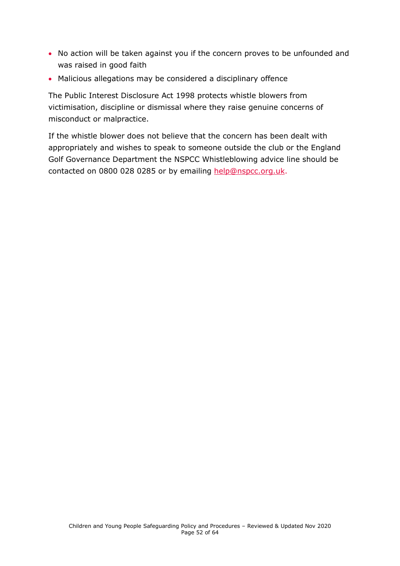- No action will be taken against you if the concern proves to be unfounded and was raised in good faith
- Malicious allegations may be considered a disciplinary offence

The Public Interest Disclosure Act 1998 protects whistle blowers from victimisation, discipline or dismissal where they raise genuine concerns of misconduct or malpractice.

If the whistle blower does not believe that the concern has been dealt with appropriately and wishes to speak to someone outside the club or the England Golf Governance Department the NSPCC Whistleblowing advice line should be contacted on 0800 028 0285 or by emailing [help@nspcc.org.uk.](mailto:help@nspcc.org.uk)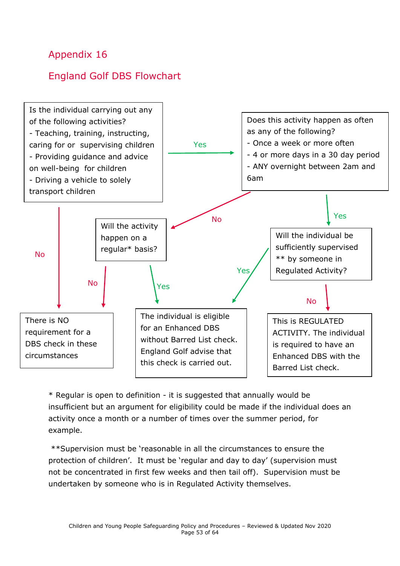### <span id="page-52-0"></span>England Golf DBS Flowchart



\* Regular is open to definition - it is suggested that annually would be insufficient but an argument for eligibility could be made if the individual does an activity once a month or a number of times over the summer period, for example.

\*\*Supervision must be 'reasonable in all the circumstances to ensure the protection of children'. It must be 'regular and day to day' (supervision must not be concentrated in first few weeks and then tail off). Supervision must be undertaken by someone who is in Regulated Activity themselves.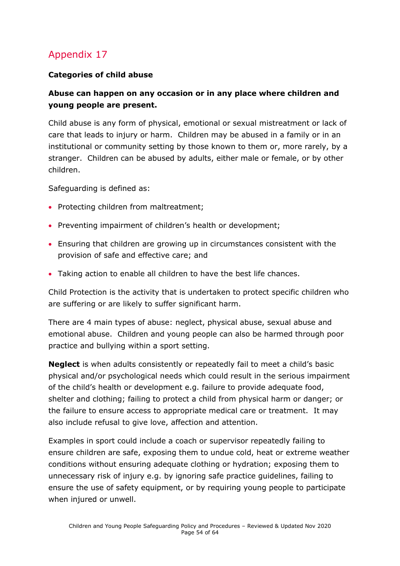#### **Categories of child abuse**

#### **Abuse can happen on any occasion or in any place where children and young people are present.**

Child abuse is any form of physical, emotional or sexual mistreatment or lack of care that leads to injury or harm. Children may be abused in a family or in an institutional or community setting by those known to them or, more rarely, by a stranger. Children can be abused by adults, either male or female, or by other children.

Safeguarding is defined as:

- Protecting children from maltreatment;
- Preventing impairment of children's health or development;
- Ensuring that children are growing up in circumstances consistent with the provision of safe and effective care; and
- Taking action to enable all children to have the best life chances.

Child Protection is the activity that is undertaken to protect specific children who are suffering or are likely to suffer significant harm.

There are 4 main types of abuse: neglect, physical abuse, sexual abuse and emotional abuse. Children and young people can also be harmed through poor practice and bullying within a sport setting.

**Neglect** is when adults consistently or repeatedly fail to meet a child's basic physical and/or psychological needs which could result in the serious impairment of the child's health or development e.g. failure to provide adequate food, shelter and clothing; failing to protect a child from physical harm or danger; or the failure to ensure access to appropriate medical care or treatment. It may also include refusal to give love, affection and attention.

Examples in sport could include a coach or supervisor repeatedly failing to ensure children are safe, exposing them to undue cold, heat or extreme weather conditions without ensuring adequate clothing or hydration; exposing them to unnecessary risk of injury e.g. by ignoring safe practice guidelines, failing to ensure the use of safety equipment, or by requiring young people to participate when injured or unwell.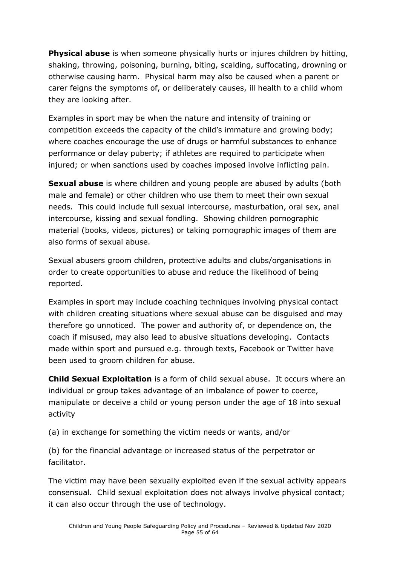**Physical abuse** is when someone physically hurts or injures children by hitting, shaking, throwing, poisoning, burning, biting, scalding, suffocating, drowning or otherwise causing harm. Physical harm may also be caused when a parent or carer feigns the symptoms of, or deliberately causes, ill health to a child whom they are looking after.

Examples in sport may be when the nature and intensity of training or competition exceeds the capacity of the child's immature and growing body; where coaches encourage the use of drugs or harmful substances to enhance performance or delay puberty; if athletes are required to participate when injured; or when sanctions used by coaches imposed involve inflicting pain.

**Sexual abuse** is where children and young people are abused by adults (both male and female) or other children who use them to meet their own sexual needs. This could include full sexual intercourse, masturbation, oral sex, anal intercourse, kissing and sexual fondling. Showing children pornographic material (books, videos, pictures) or taking pornographic images of them are also forms of sexual abuse.

Sexual abusers groom children, protective adults and clubs/organisations in order to create opportunities to abuse and reduce the likelihood of being reported.

Examples in sport may include coaching techniques involving physical contact with children creating situations where sexual abuse can be disguised and may therefore go unnoticed. The power and authority of, or dependence on, the coach if misused, may also lead to abusive situations developing. Contacts made within sport and pursued e.g. through texts, Facebook or Twitter have been used to groom children for abuse.

**Child Sexual Exploitation** is a form of child sexual abuse. It occurs where an individual or group takes advantage of an imbalance of power to coerce, manipulate or deceive a child or young person under the age of 18 into sexual activity

(a) in exchange for something the victim needs or wants, and/or

(b) for the financial advantage or increased status of the perpetrator or facilitator.

The victim may have been sexually exploited even if the sexual activity appears consensual. Child sexual exploitation does not always involve physical contact; it can also occur through the use of technology.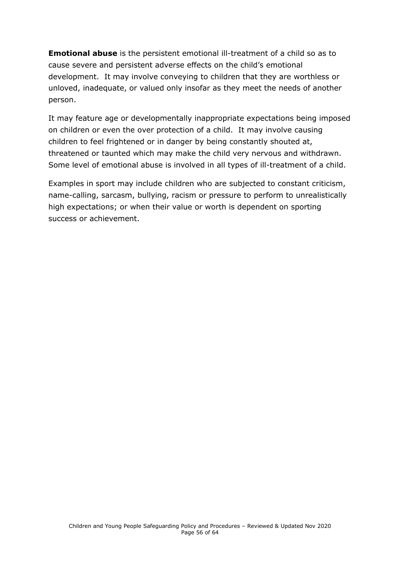**Emotional abuse** is the persistent emotional ill-treatment of a child so as to cause severe and persistent adverse effects on the child's emotional development. It may involve conveying to children that they are worthless or unloved, inadequate, or valued only insofar as they meet the needs of another person.

It may feature age or developmentally inappropriate expectations being imposed on children or even the over protection of a child. It may involve causing children to feel frightened or in danger by being constantly shouted at, threatened or taunted which may make the child very nervous and withdrawn. Some level of emotional abuse is involved in all types of ill-treatment of a child.

Examples in sport may include children who are subjected to constant criticism, name-calling, sarcasm, bullying, racism or pressure to perform to unrealistically high expectations; or when their value or worth is dependent on sporting success or achievement.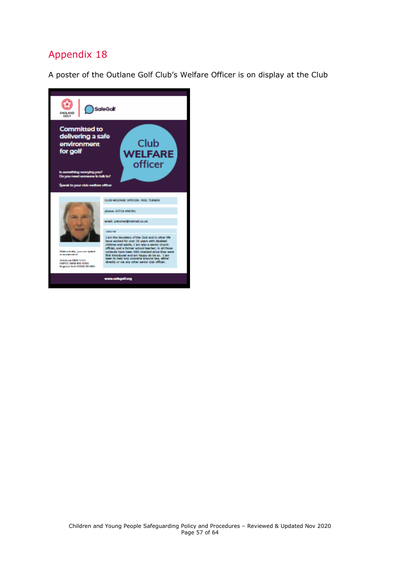<span id="page-56-0"></span>A poster of the Outlane Golf Club's Welfare Officer is on display at the Club

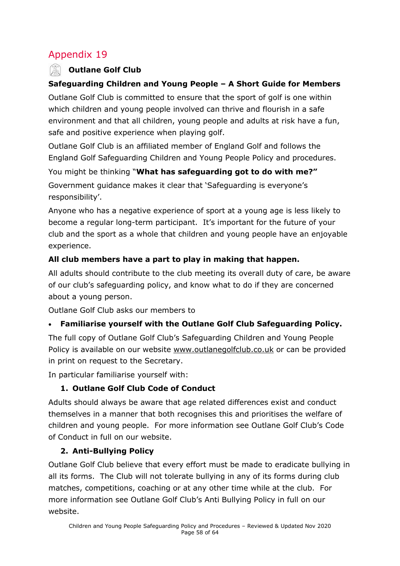#### **Outlane Golf Club**

#### **Safeguarding Children and Young People – A Short Guide for Members**

Outlane Golf Club is committed to ensure that the sport of golf is one within which children and young people involved can thrive and flourish in a safe environment and that all children, young people and adults at risk have a fun, safe and positive experience when playing golf.

Outlane Golf Club is an affiliated member of England Golf and follows the England Golf Safeguarding Children and Young People Policy and procedures.

You might be thinking "**What has safeguarding got to do with me?"** Government guidance makes it clear that 'Safeguarding is everyone's responsibility'.

Anyone who has a negative experience of sport at a young age is less likely to become a regular long-term participant. It's important for the future of your club and the sport as a whole that children and young people have an enjoyable experience.

#### **All club members have a part to play in making that happen.**

All adults should contribute to the club meeting its overall duty of care, be aware of our club's safeguarding policy, and know what to do if they are concerned about a young person.

Outlane Golf Club asks our members to

#### • **Familiarise yourself with the Outlane Golf Club Safeguarding Policy.**

The full copy of Outlane Golf Club's Safeguarding Children and Young People Policy is available on our website [www.outlanegolfclub.co.uk](http://www.outlanegolfclub.co.uk/) or can be provided in print on request to the Secretary.

In particular familiarise yourself with:

### **1. Outlane Golf Club Code of Conduct**

Adults should always be aware that age related differences exist and conduct themselves in a manner that both recognises this and prioritises the welfare of children and young people. For more information see Outlane Golf Club's Code of Conduct in full on our website.

#### **2. Anti-Bullying Policy**

Outlane Golf Club believe that every effort must be made to eradicate bullying in all its forms. The Club will not tolerate bullying in any of its forms during club matches, competitions, coaching or at any other time while at the club. For more information see Outlane Golf Club's Anti Bullying Policy in full on our website.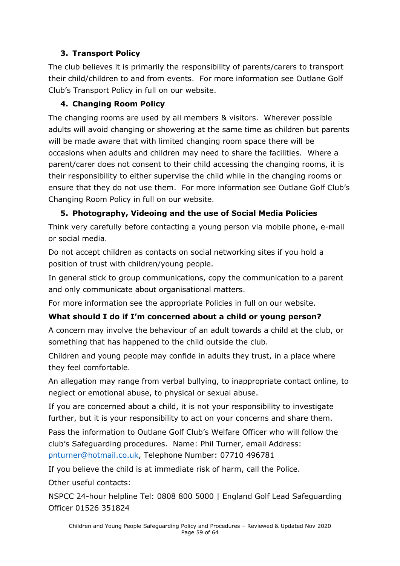#### **3. Transport Policy**

The club believes it is primarily the responsibility of parents/carers to transport their child/children to and from events. For more information see Outlane Golf Club's Transport Policy in full on our website.

#### **4. Changing Room Policy**

The changing rooms are used by all members & visitors. Wherever possible adults will avoid changing or showering at the same time as children but parents will be made aware that with limited changing room space there will be occasions when adults and children may need to share the facilities. Where a parent/carer does not consent to their child accessing the changing rooms, it is their responsibility to either supervise the child while in the changing rooms or ensure that they do not use them. For more information see Outlane Golf Club's Changing Room Policy in full on our website.

#### **5. Photography, Videoing and the use of Social Media Policies**

Think very carefully before contacting a young person via mobile phone, e-mail or social media.

Do not accept children as contacts on social networking sites if you hold a position of trust with children/young people.

In general stick to group communications, copy the communication to a parent and only communicate about organisational matters.

For more information see the appropriate Policies in full on our website.

#### **What should I do if I'm concerned about a child or young person?**

A concern may involve the behaviour of an adult towards a child at the club, or something that has happened to the child outside the club.

Children and young people may confide in adults they trust, in a place where they feel comfortable.

An allegation may range from verbal bullying, to inappropriate contact online, to neglect or emotional abuse, to physical or sexual abuse.

If you are concerned about a child, it is not your responsibility to investigate further, but it is your responsibility to act on your concerns and share them.

Pass the information to Outlane Golf Club's Welfare Officer who will follow the club's Safeguarding procedures. Name: Phil Turner, email Address: [pnturner@hotmail.co.uk,](mailto:pnturner@hotmail.co.uk) Telephone Number: 07710 496781

If you believe the child is at immediate risk of harm, call the Police.

Other useful contacts:

<span id="page-58-0"></span>NSPCC 24-hour helpline Tel: 0808 800 5000 | England Golf Lead Safeguarding Officer 01526 351824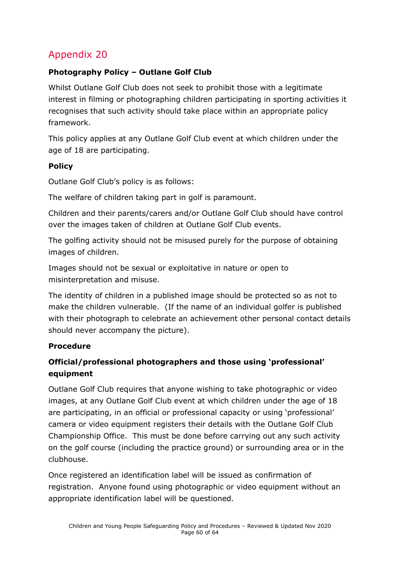#### **Photography Policy – Outlane Golf Club**

Whilst Outlane Golf Club does not seek to prohibit those with a legitimate interest in filming or photographing children participating in sporting activities it recognises that such activity should take place within an appropriate policy framework.

This policy applies at any Outlane Golf Club event at which children under the age of 18 are participating.

#### **Policy**

Outlane Golf Club's policy is as follows:

The welfare of children taking part in golf is paramount.

Children and their parents/carers and/or Outlane Golf Club should have control over the images taken of children at Outlane Golf Club events.

The golfing activity should not be misused purely for the purpose of obtaining images of children.

Images should not be sexual or exploitative in nature or open to misinterpretation and misuse.

The identity of children in a published image should be protected so as not to make the children vulnerable. (If the name of an individual golfer is published with their photograph to celebrate an achievement other personal contact details should never accompany the picture).

#### **Procedure**

#### **Official/professional photographers and those using 'professional' equipment**

Outlane Golf Club requires that anyone wishing to take photographic or video images, at any Outlane Golf Club event at which children under the age of 18 are participating, in an official or professional capacity or using 'professional' camera or video equipment registers their details with the Outlane Golf Club Championship Office. This must be done before carrying out any such activity on the golf course (including the practice ground) or surrounding area or in the clubhouse.

Once registered an identification label will be issued as confirmation of registration. Anyone found using photographic or video equipment without an appropriate identification label will be questioned.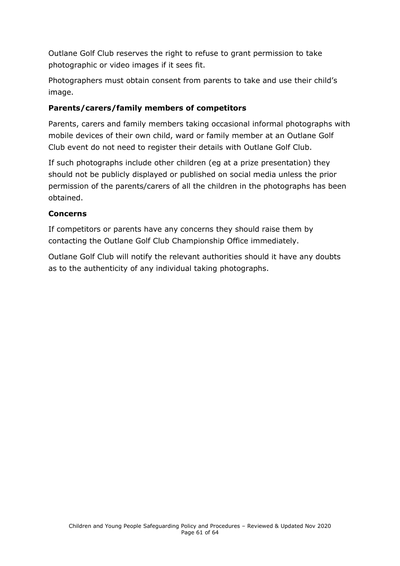Outlane Golf Club reserves the right to refuse to grant permission to take photographic or video images if it sees fit.

Photographers must obtain consent from parents to take and use their child's image.

#### **Parents/carers/family members of competitors**

Parents, carers and family members taking occasional informal photographs with mobile devices of their own child, ward or family member at an Outlane Golf Club event do not need to register their details with Outlane Golf Club.

If such photographs include other children (eg at a prize presentation) they should not be publicly displayed or published on social media unless the prior permission of the parents/carers of all the children in the photographs has been obtained.

#### **Concerns**

If competitors or parents have any concerns they should raise them by contacting the Outlane Golf Club Championship Office immediately.

Outlane Golf Club will notify the relevant authorities should it have any doubts as to the authenticity of any individual taking photographs.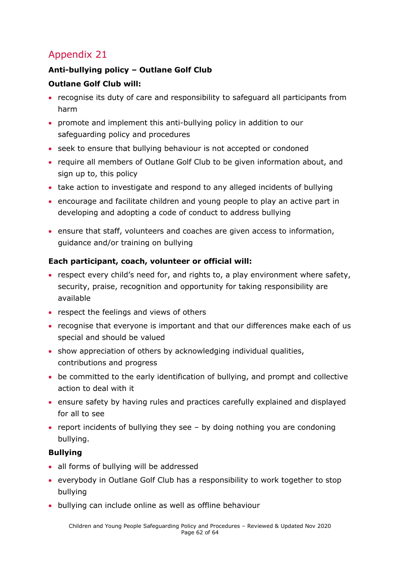#### <span id="page-61-0"></span>**Anti-bullying policy – Outlane Golf Club**

#### **Outlane Golf Club will:**

- recognise its duty of care and responsibility to safeguard all participants from harm
- promote and implement this anti-bullying policy in addition to our safeguarding policy and procedures
- seek to ensure that bullying behaviour is not accepted or condoned
- require all members of Outlane Golf Club to be given information about, and sign up to, this policy
- take action to investigate and respond to any alleged incidents of bullying
- encourage and facilitate children and young people to play an active part in developing and adopting a code of conduct to address bullying
- ensure that staff, volunteers and coaches are given access to information, guidance and/or training on bullying

#### **Each participant, coach, volunteer or official will:**

- respect every child's need for, and rights to, a play environment where safety, security, praise, recognition and opportunity for taking responsibility are available
- respect the feelings and views of others
- recognise that everyone is important and that our differences make each of us special and should be valued
- show appreciation of others by acknowledging individual qualities, contributions and progress
- be committed to the early identification of bullying, and prompt and collective action to deal with it
- ensure safety by having rules and practices carefully explained and displayed for all to see
- report incidents of bullying they see by doing nothing you are condoning bullying.

#### **Bullying**

- all forms of bullying will be addressed
- everybody in Outlane Golf Club has a responsibility to work together to stop bullying
- bullying can include online as well as offline behaviour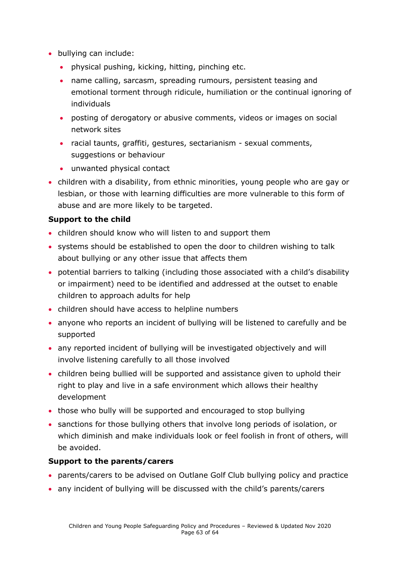- bullying can include:
	- physical pushing, kicking, hitting, pinching etc.
	- name calling, sarcasm, spreading rumours, persistent teasing and emotional torment through ridicule, humiliation or the continual ignoring of individuals
	- posting of derogatory or abusive comments, videos or images on social network sites
	- racial taunts, graffiti, gestures, sectarianism sexual comments, suggestions or behaviour
	- unwanted physical contact
- children with a disability, from ethnic minorities, young people who are gay or lesbian, or those with learning difficulties are more vulnerable to this form of abuse and are more likely to be targeted.

#### **Support to the child**

- children should know who will listen to and support them
- systems should be established to open the door to children wishing to talk about bullying or any other issue that affects them
- potential barriers to talking (including those associated with a child's disability or impairment) need to be identified and addressed at the outset to enable children to approach adults for help
- children should have access to helpline numbers
- anyone who reports an incident of bullying will be listened to carefully and be supported
- any reported incident of bullying will be investigated objectively and will involve listening carefully to all those involved
- children being bullied will be supported and assistance given to uphold their right to play and live in a safe environment which allows their healthy development
- those who bully will be supported and encouraged to stop bullying
- sanctions for those bullying others that involve long periods of isolation, or which diminish and make individuals look or feel foolish in front of others, will be avoided.

#### **Support to the parents/carers**

- parents/carers to be advised on Outlane Golf Club bullying policy and practice
- any incident of bullying will be discussed with the child's parents/carers